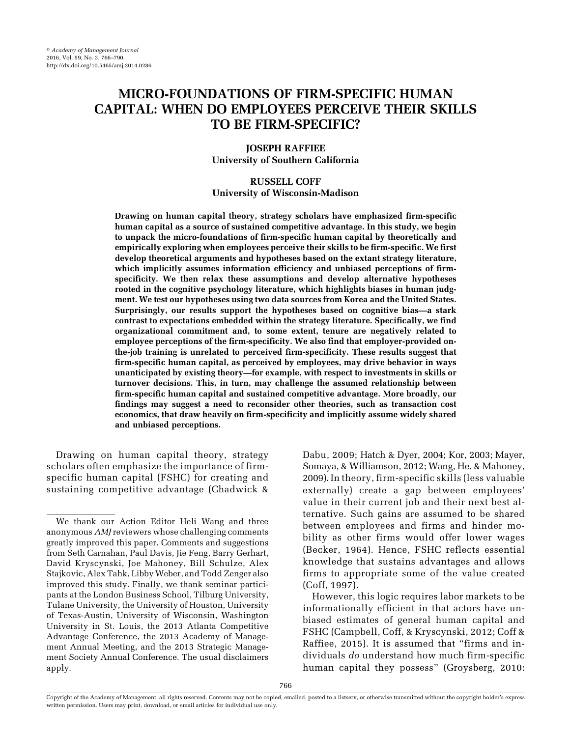# MICRO-FOUNDATIONS OF FIRM-SPECIFIC HUMAN CAPITAL: WHEN DO EMPLOYEES PERCEIVE THEIR SKILLS TO BE FIRM-SPECIFIC?

# JOSEPH RAFFIEE University of Southern California

# RUSSELL COFF University of Wisconsin-Madison

Drawing on human capital theory, strategy scholars have emphasized firm-specific human capital as a source of sustained competitive advantage. In this study, we begin to unpack the micro-foundations of firm-specific human capital by theoretically and empirically exploring when employees perceive their skills to be firm-specific. We first develop theoretical arguments and hypotheses based on the extant strategy literature, which implicitly assumes information efficiency and unbiased perceptions of firmspecificity. We then relax these assumptions and develop alternative hypotheses rooted in the cognitive psychology literature, which highlights biases in human judgment. We test our hypotheses using two data sources from Korea and the United States. Surprisingly, our results support the hypotheses based on cognitive bias—a stark contrast to expectations embedded within the strategy literature. Specifically, we find organizational commitment and, to some extent, tenure are negatively related to employee perceptions of the firm-specificity. We also find that employer-provided onthe-job training is unrelated to perceived firm-specificity. These results suggest that firm-specific human capital, as perceived by employees, may drive behavior in ways unanticipated by existing theory—for example, with respect to investments in skills or turnover decisions. This, in turn, may challenge the assumed relationship between firm-specific human capital and sustained competitive advantage. More broadly, our findings may suggest a need to reconsider other theories, such as transaction cost economics, that draw heavily on firm-specificity and implicitly assume widely shared and unbiased perceptions.

Drawing on human capital theory, strategy scholars often emphasize the importance of firmspecific human capital (FSHC) for creating and sustaining competitive advantage (Chadwick &

Dabu, 2009; Hatch & Dyer, 2004; Kor, 2003; Mayer, Somaya, & Williamson, 2012; Wang, He, & Mahoney, 2009). In theory, firm-specific skills (less valuable externally) create a gap between employees' value in their current job and their next best alternative. Such gains are assumed to be shared between employees and firms and hinder mobility as other firms would offer lower wages (Becker, 1964). Hence, FSHC reflects essential knowledge that sustains advantages and allows firms to appropriate some of the value created (Coff, 1997).

However, this logic requires labor markets to be informationally efficient in that actors have unbiased estimates of general human capital and FSHC (Campbell, Coff, & Kryscynski, 2012; Coff & Raffiee, 2015). It is assumed that "firms and individuals do understand how much firm-specific human capital they possess" (Groysberg, 2010:

We thank our Action Editor Heli Wang and three anonymous AMJ reviewers whose challenging comments greatly improved this paper. Comments and suggestions from Seth Carnahan, Paul Davis, Jie Feng, Barry Gerhart, David Kryscynski, Joe Mahoney, Bill Schulze, Alex Stajkovic, Alex Tahk, Libby Weber, and Todd Zenger also improved this study. Finally, we thank seminar participants at the London Business School, Tilburg University, Tulane University, the University of Houston, University of Texas-Austin, University of Wisconsin, Washington University in St. Louis, the 2013 Atlanta Competitive Advantage Conference, the 2013 Academy of Management Annual Meeting, and the 2013 Strategic Management Society Annual Conference. The usual disclaimers apply.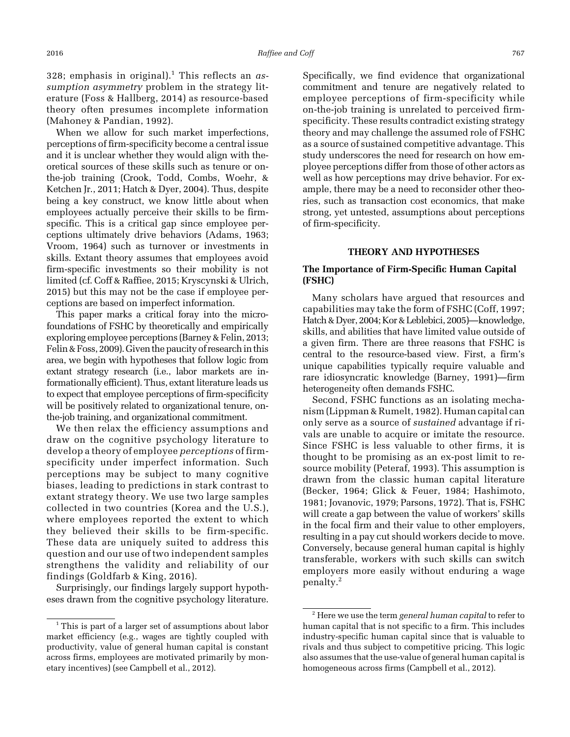328; emphasis in original).<sup>1</sup> This reflects an  $as$ sumption asymmetry problem in the strategy literature (Foss & Hallberg, 2014) as resource-based theory often presumes incomplete information (Mahoney & Pandian, 1992).

When we allow for such market imperfections, perceptions of firm-specificity become a central issue and it is unclear whether they would align with theoretical sources of these skills such as tenure or onthe-job training (Crook, Todd, Combs, Woehr, & Ketchen Jr., 2011; Hatch & Dyer, 2004). Thus, despite being a key construct, we know little about when employees actually perceive their skills to be firmspecific. This is a critical gap since employee perceptions ultimately drive behaviors (Adams, 1963; Vroom, 1964) such as turnover or investments in skills. Extant theory assumes that employees avoid firm-specific investments so their mobility is not limited (cf. Coff & Raffiee, 2015; Kryscynski & Ulrich, 2015) but this may not be the case if employee perceptions are based on imperfect information.

This paper marks a critical foray into the microfoundations of FSHC by theoretically and empirically exploring employee perceptions (Barney & Felin, 2013; Felin & Foss, 2009). Given the paucity of research in this area, we begin with hypotheses that follow logic from extant strategy research (i.e., labor markets are informationally efficient). Thus, extant literature leads us to expect that employee perceptions of firm-specificity will be positively related to organizational tenure, onthe-job training, and organizational commitment.

We then relax the efficiency assumptions and draw on the cognitive psychology literature to develop a theory of employee perceptions of firmspecificity under imperfect information. Such perceptions may be subject to many cognitive biases, leading to predictions in stark contrast to extant strategy theory. We use two large samples collected in two countries (Korea and the U.S.), where employees reported the extent to which they believed their skills to be firm-specific. These data are uniquely suited to address this question and our use of two independent samples strengthens the validity and reliability of our findings (Goldfarb & King, 2016).

Surprisingly, our findings largely support hypotheses drawn from the cognitive psychology literature. Specifically, we find evidence that organizational commitment and tenure are negatively related to employee perceptions of firm-specificity while on-the-job training is unrelated to perceived firmspecificity. These results contradict existing strategy theory and may challenge the assumed role of FSHC as a source of sustained competitive advantage. This study underscores the need for research on how employee perceptions differ from those of other actors as well as how perceptions may drive behavior. For example, there may be a need to reconsider other theories, such as transaction cost economics, that make strong, yet untested, assumptions about perceptions of firm-specificity.

### THEORY AND HYPOTHESES

# The Importance of Firm-Specific Human Capital (FSHC)

Many scholars have argued that resources and capabilities may take the form of FSHC (Coff, 1997; Hatch & Dyer, 2004; Kor & Leblebici, 2005)—knowledge, skills, and abilities that have limited value outside of a given firm. There are three reasons that FSHC is central to the resource-based view. First, a firm's unique capabilities typically require valuable and rare idiosyncratic knowledge (Barney, 1991)—firm heterogeneity often demands FSHC.

Second, FSHC functions as an isolating mechanism (Lippman & Rumelt, 1982). Human capital can only serve as a source of sustained advantage if rivals are unable to acquire or imitate the resource. Since FSHC is less valuable to other firms, it is thought to be promising as an ex-post limit to resource mobility (Peteraf, 1993). This assumption is drawn from the classic human capital literature (Becker, 1964; Glick & Feuer, 1984; Hashimoto, 1981; Jovanovic, 1979; Parsons, 1972). That is, FSHC will create a gap between the value of workers' skills in the focal firm and their value to other employers, resulting in a pay cut should workers decide to move. Conversely, because general human capital is highly transferable, workers with such skills can switch employers more easily without enduring a wage penalty.<sup>2</sup>

<sup>&</sup>lt;sup>1</sup> This is part of a larger set of assumptions about labor market efficiency (e.g., wages are tightly coupled with productivity, value of general human capital is constant across firms, employees are motivated primarily by monetary incentives) (see Campbell et al., 2012).

 $2<sup>2</sup>$  Here we use the term general human capital to refer to human capital that is not specific to a firm. This includes industry-specific human capital since that is valuable to rivals and thus subject to competitive pricing. This logic also assumes that the use-value of general human capital is homogeneous across firms (Campbell et al., 2012).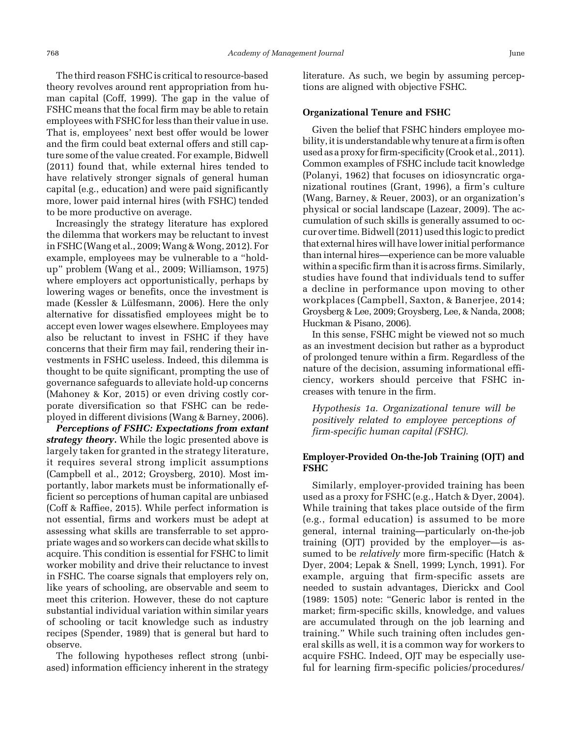The third reason FSHC is critical to resource-based theory revolves around rent appropriation from human capital (Coff, 1999). The gap in the value of FSHC means that the focal firm may be able to retain employees with FSHC for less than their value in use. That is, employees' next best offer would be lower and the firm could beat external offers and still capture some of the value created. For example, Bidwell (2011) found that, while external hires tended to have relatively stronger signals of general human capital (e.g., education) and were paid significantly more, lower paid internal hires (with FSHC) tended to be more productive on average.

Increasingly the strategy literature has explored the dilemma that workers may be reluctant to invest in FSHC (Wang et al., 2009; Wang & Wong, 2012). For example, employees may be vulnerable to a "holdup" problem (Wang et al., 2009; Williamson, 1975) where employers act opportunistically, perhaps by lowering wages or benefits, once the investment is made (Kessler & Lülfesmann, 2006). Here the only alternative for dissatisfied employees might be to accept even lower wages elsewhere. Employees may also be reluctant to invest in FSHC if they have concerns that their firm may fail, rendering their investments in FSHC useless. Indeed, this dilemma is thought to be quite significant, prompting the use of governance safeguards to alleviate hold-up concerns (Mahoney & Kor, 2015) or even driving costly corporate diversification so that FSHC can be redeployed in different divisions (Wang & Barney, 2006).

Perceptions of FSHC: Expectations from extant strategy theory. While the logic presented above is largely taken for granted in the strategy literature, it requires several strong implicit assumptions (Campbell et al., 2012; Groysberg, 2010). Most importantly, labor markets must be informationally efficient so perceptions of human capital are unbiased (Coff & Raffiee, 2015). While perfect information is not essential, firms and workers must be adept at assessing what skills are transferrable to set appropriate wages and so workers can decide what skills to acquire. This condition is essential for FSHC to limit worker mobility and drive their reluctance to invest in FSHC. The coarse signals that employers rely on, like years of schooling, are observable and seem to meet this criterion. However, these do not capture substantial individual variation within similar years of schooling or tacit knowledge such as industry recipes (Spender, 1989) that is general but hard to observe.

The following hypotheses reflect strong (unbiased) information efficiency inherent in the strategy literature. As such, we begin by assuming perceptions are aligned with objective FSHC.

### Organizational Tenure and FSHC

Given the belief that FSHC hinders employee mobility, it is understandablewhy tenure at a firm is often used as a proxy for firm-specificity (Crook et al., 2011). Common examples of FSHC include tacit knowledge (Polanyi, 1962) that focuses on idiosyncratic organizational routines (Grant, 1996), a firm's culture (Wang, Barney, & Reuer, 2003), or an organization's physical or social landscape (Lazear, 2009). The accumulation of such skills is generally assumed to occur over time. Bidwell (2011) used this logic to predict that external hires will have lower initial performance than internal hires—experience can be more valuable within a specific firm than it is across firms. Similarly, studies have found that individuals tend to suffer a decline in performance upon moving to other workplaces (Campbell, Saxton, & Banerjee, 2014; Groysberg & Lee, 2009; Groysberg, Lee, & Nanda, 2008; Huckman & Pisano, 2006).

In this sense, FSHC might be viewed not so much as an investment decision but rather as a byproduct of prolonged tenure within a firm. Regardless of the nature of the decision, assuming informational efficiency, workers should perceive that FSHC increases with tenure in the firm.

Hypothesis 1a. Organizational tenure will be positively related to employee perceptions of firm-specific human capital (FSHC).

# Employer-Provided On-the-Job Training (OJT) and FSHC

Similarly, employer-provided training has been used as a proxy for FSHC (e.g., Hatch & Dyer, 2004). While training that takes place outside of the firm (e.g., formal education) is assumed to be more general, internal training—particularly on-the-job training (OJT) provided by the employer—is assumed to be relatively more firm-specific (Hatch & Dyer, 2004; Lepak & Snell, 1999; Lynch, 1991). For example, arguing that firm-specific assets are needed to sustain advantages, Dierickx and Cool (1989: 1505) note: "Generic labor is rented in the market; firm-specific skills, knowledge, and values are accumulated through on the job learning and training." While such training often includes general skills as well, it is a common way for workers to acquire FSHC. Indeed, OJT may be especially useful for learning firm-specific policies/procedures/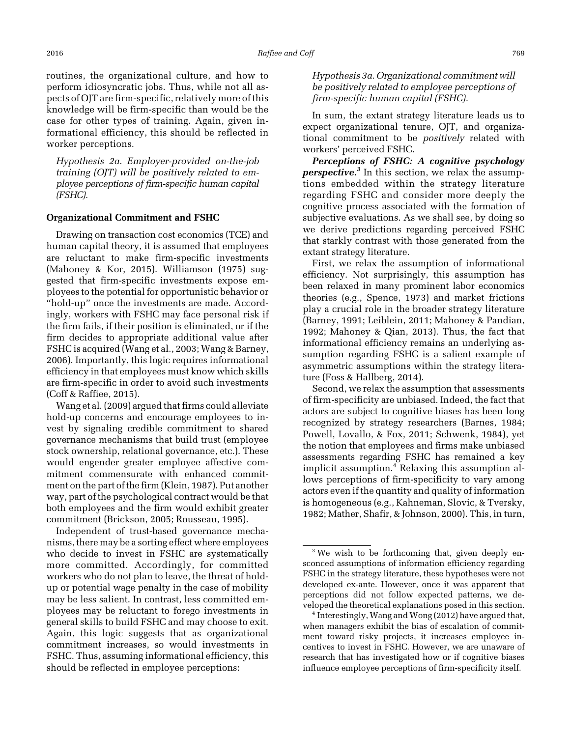routines, the organizational culture, and how to perform idiosyncratic jobs. Thus, while not all aspects of OJT are firm-specific, relatively more of this knowledge will be firm-specific than would be the case for other types of training. Again, given informational efficiency, this should be reflected in worker perceptions.

Hypothesis 2a. Employer-provided on-the-job training (OJT) will be positively related to employee perceptions of firm-specific human capital (FSHC).

#### Organizational Commitment and FSHC

Drawing on transaction cost economics (TCE) and human capital theory, it is assumed that employees are reluctant to make firm-specific investments (Mahoney & Kor, 2015). Williamson (1975) suggested that firm-specific investments expose employees to the potential for opportunistic behavior or "hold-up" once the investments are made. Accordingly, workers with FSHC may face personal risk if the firm fails, if their position is eliminated, or if the firm decides to appropriate additional value after FSHC is acquired (Wang et al., 2003; Wang & Barney, 2006). Importantly, this logic requires informational efficiency in that employees must know which skills are firm-specific in order to avoid such investments (Coff & Raffiee, 2015).

Wang et al. (2009) argued that firms could alleviate hold-up concerns and encourage employees to invest by signaling credible commitment to shared governance mechanisms that build trust (employee stock ownership, relational governance, etc.). These would engender greater employee affective commitment commensurate with enhanced commitment on the part of the firm (Klein, 1987). Put another way, part of the psychological contract would be that both employees and the firm would exhibit greater commitment (Brickson, 2005; Rousseau, 1995).

Independent of trust-based governance mechanisms, there may be a sorting effect where employees who decide to invest in FSHC are systematically more committed. Accordingly, for committed workers who do not plan to leave, the threat of holdup or potential wage penalty in the case of mobility may be less salient. In contrast, less committed employees may be reluctant to forego investments in general skills to build FSHC and may choose to exit. Again, this logic suggests that as organizational commitment increases, so would investments in FSHC. Thus, assuming informational efficiency, this should be reflected in employee perceptions:

Hypothesis 3a. Organizational commitment will be positively related to employee perceptions of firm-specific human capital (FSHC).

In sum, the extant strategy literature leads us to expect organizational tenure, OJT, and organizational commitment to be *positively* related with workers' perceived FSHC.

Perceptions of FSHC: A cognitive psychology **perspective.**<sup>3</sup> In this section, we relax the assumptions embedded within the strategy literature regarding FSHC and consider more deeply the cognitive process associated with the formation of subjective evaluations. As we shall see, by doing so we derive predictions regarding perceived FSHC that starkly contrast with those generated from the extant strategy literature.

First, we relax the assumption of informational efficiency. Not surprisingly, this assumption has been relaxed in many prominent labor economics theories (e.g., Spence, 1973) and market frictions play a crucial role in the broader strategy literature (Barney, 1991; Leiblein, 2011; Mahoney & Pandian, 1992; Mahoney & Qian, 2013). Thus, the fact that informational efficiency remains an underlying assumption regarding FSHC is a salient example of asymmetric assumptions within the strategy literature (Foss & Hallberg, 2014).

Second, we relax the assumption that assessments of firm-specificity are unbiased. Indeed, the fact that actors are subject to cognitive biases has been long recognized by strategy researchers (Barnes, 1984; Powell, Lovallo, & Fox, 2011; Schwenk, 1984), yet the notion that employees and firms make unbiased assessments regarding FSHC has remained a key implicit assumption. $4$  Relaxing this assumption allows perceptions of firm-specificity to vary among actors even if the quantity and quality of information is homogeneous (e.g., Kahneman, Slovic, & Tversky, 1982; Mather, Shafir, & Johnson, 2000). This, in turn,

<sup>&</sup>lt;sup>3</sup> We wish to be forthcoming that, given deeply ensconced assumptions of information efficiency regarding FSHC in the strategy literature, these hypotheses were not developed ex-ante. However, once it was apparent that perceptions did not follow expected patterns, we developed the theoretical explanations posed in this section.

 $4$  Interestingly, Wang and Wong (2012) have argued that, when managers exhibit the bias of escalation of commitment toward risky projects, it increases employee incentives to invest in FSHC. However, we are unaware of research that has investigated how or if cognitive biases influence employee perceptions of firm-specificity itself.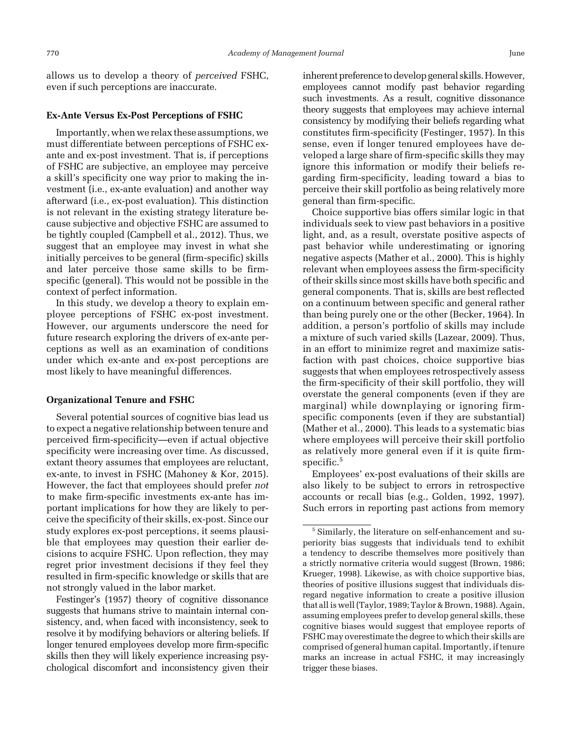allows us to develop a theory of perceived FSHC, even if such perceptions are inaccurate.

#### Ex-Ante Versus Ex-Post Perceptions of FSHC

Importantly, when we relax these assumptions, we must differentiate between perceptions of FSHC exante and ex-post investment. That is, if perceptions of FSHC are subjective, an employee may perceive a skill's specificity one way prior to making the investment (i.e., ex-ante evaluation) and another way afterward (i.e., ex-post evaluation). This distinction is not relevant in the existing strategy literature because subjective and objective FSHC are assumed to be tightly coupled (Campbell et al., 2012). Thus, we suggest that an employee may invest in what she initially perceives to be general (firm-specific) skills and later perceive those same skills to be firmspecific (general). This would not be possible in the context of perfect information.

In this study, we develop a theory to explain employee perceptions of FSHC ex-post investment. However, our arguments underscore the need for future research exploring the drivers of ex-ante perceptions as well as an examination of conditions under which ex-ante and ex-post perceptions are most likely to have meaningful differences.

#### Organizational Tenure and FSHC

Several potential sources of cognitive bias lead us to expect a negative relationship between tenure and perceived firm-specificity—even if actual objective specificity were increasing over time. As discussed, extant theory assumes that employees are reluctant, ex-ante, to invest in FSHC (Mahoney & Kor, 2015). However, the fact that employees should prefer not to make firm-specific investments ex-ante has important implications for how they are likely to perceive the specificity of their skills, ex-post. Since our study explores ex-post perceptions, it seems plausible that employees may question their earlier decisions to acquire FSHC. Upon reflection, they may regret prior investment decisions if they feel they resulted in firm-specific knowledge or skills that are not strongly valued in the labor market.

Festinger's (1957) theory of cognitive dissonance suggests that humans strive to maintain internal consistency, and, when faced with inconsistency, seek to resolve it by modifying behaviors or altering beliefs. If longer tenured employees develop more firm-specific skills then they will likely experience increasing psychological discomfort and inconsistency given their

inherent preference to develop general skills. However, employees cannot modify past behavior regarding such investments. As a result, cognitive dissonance theory suggests that employees may achieve internal consistency by modifying their beliefs regarding what constitutes firm-specificity (Festinger, 1957). In this sense, even if longer tenured employees have developed a large share of firm-specific skills they may ignore this information or modify their beliefs regarding firm-specificity, leading toward a bias to perceive their skill portfolio as being relatively more general than firm-specific.

Choice supportive bias offers similar logic in that individuals seek to view past behaviors in a positive light, and, as a result, overstate positive aspects of past behavior while underestimating or ignoring negative aspects (Mather et al., 2000). This is highly relevant when employees assess the firm-specificity of their skills since most skills have both specific and general components. That is, skills are best reflected on a continuum between specific and general rather than being purely one or the other (Becker, 1964). In addition, a person's portfolio of skills may include a mixture of such varied skills (Lazear, 2009). Thus, in an effort to minimize regret and maximize satisfaction with past choices, choice supportive bias suggests that when employees retrospectively assess the firm-specificity of their skill portfolio, they will overstate the general components (even if they are marginal) while downplaying or ignoring firmspecific components (even if they are substantial) (Mather et al., 2000). This leads to a systematic bias where employees will perceive their skill portfolio as relatively more general even if it is quite firmspecific. $5$ 

Employees' ex-post evaluations of their skills are also likely to be subject to errors in retrospective accounts or recall bias (e.g., Golden, 1992, 1997). Such errors in reporting past actions from memory

<sup>5</sup> Similarly, the literature on self-enhancement and superiority bias suggests that individuals tend to exhibit a tendency to describe themselves more positively than a strictly normative criteria would suggest (Brown, 1986; Krueger, 1998). Likewise, as with choice supportive bias, theories of positive illusions suggest that individuals disregard negative information to create a positive illusion that all is well (Taylor, 1989; Taylor & Brown, 1988). Again, assuming employees prefer to develop general skills, these cognitive biases would suggest that employee reports of FSHC may overestimate the degree to which their skills are comprised of general human capital. Importantly, if tenure marks an increase in actual FSHC, it may increasingly trigger these biases.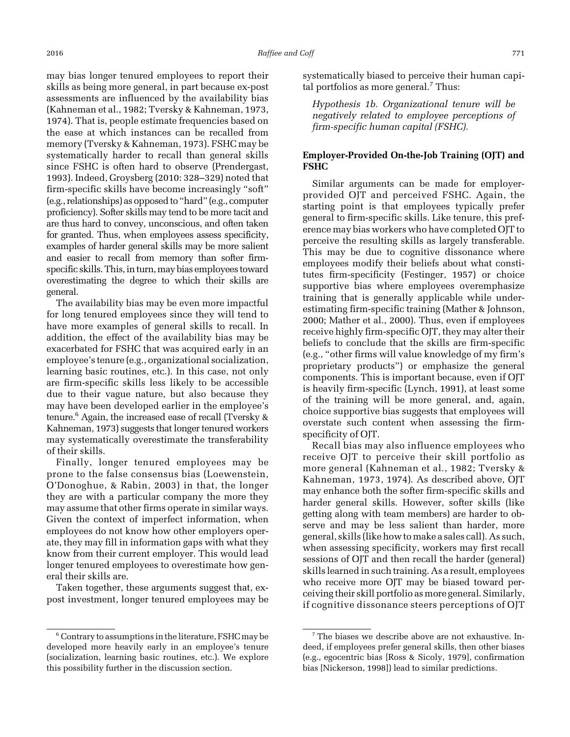may bias longer tenured employees to report their skills as being more general, in part because ex-post assessments are influenced by the availability bias (Kahneman et al., 1982; Tversky & Kahneman, 1973, 1974). That is, people estimate frequencies based on the ease at which instances can be recalled from memory (Tversky & Kahneman, 1973). FSHC may be systematically harder to recall than general skills since FSHC is often hard to observe (Prendergast, 1993). Indeed, Groysberg (2010: 328–329) noted that firm-specific skills have become increasingly "soft" (e.g., relationships) as opposed to "hard" (e.g., computer proficiency). Softer skills may tend to be more tacit and are thus hard to convey, unconscious, and often taken for granted. Thus, when employees assess specificity, examples of harder general skills may be more salient and easier to recall from memory than softer firmspecific skills. This, in turn, may bias employees toward overestimating the degree to which their skills are general.

The availability bias may be even more impactful for long tenured employees since they will tend to have more examples of general skills to recall. In addition, the effect of the availability bias may be exacerbated for FSHC that was acquired early in an employee's tenure (e.g., organizational socialization, learning basic routines, etc.). In this case, not only are firm-specific skills less likely to be accessible due to their vague nature, but also because they may have been developed earlier in the employee's tenure.6 Again, the increased ease of recall (Tversky & Kahneman, 1973) suggests that longer tenured workers may systematically overestimate the transferability of their skills.

Finally, longer tenured employees may be prone to the false consensus bias (Loewenstein, O'Donoghue, & Rabin, 2003) in that, the longer they are with a particular company the more they may assume that other firms operate in similar ways. Given the context of imperfect information, when employees do not know how other employers operate, they may fill in information gaps with what they know from their current employer. This would lead longer tenured employees to overestimate how general their skills are.

Taken together, these arguments suggest that, expost investment, longer tenured employees may be systematically biased to perceive their human capital portfolios as more general.<sup>7</sup> Thus:

Hypothesis 1b. Organizational tenure will be negatively related to employee perceptions of firm-specific human capital (FSHC).

# Employer-Provided On-the-Job Training (OJT) and FSHC

Similar arguments can be made for employerprovided OJT and perceived FSHC. Again, the starting point is that employees typically prefer general to firm-specific skills. Like tenure, this preference may bias workers who have completed OJT to perceive the resulting skills as largely transferable. This may be due to cognitive dissonance where employees modify their beliefs about what constitutes firm-specificity (Festinger, 1957) or choice supportive bias where employees overemphasize training that is generally applicable while underestimating firm-specific training (Mather & Johnson, 2000; Mather et al., 2000). Thus, even if employees receive highly firm-specific OJT, they may alter their beliefs to conclude that the skills are firm-specific (e.g., "other firms will value knowledge of my firm's proprietary products") or emphasize the general components. This is important because, even if OJT is heavily firm-specific (Lynch, 1991), at least some of the training will be more general, and, again, choice supportive bias suggests that employees will overstate such content when assessing the firmspecificity of OJT.

Recall bias may also influence employees who receive OJT to perceive their skill portfolio as more general (Kahneman et al., 1982; Tversky & Kahneman, 1973, 1974). As described above, OJT may enhance both the softer firm-specific skills and harder general skills. However, softer skills (like getting along with team members) are harder to observe and may be less salient than harder, more general, skills (like how to make a sales call). As such, when assessing specificity, workers may first recall sessions of OJT and then recall the harder (general) skills learned in such training. As a result, employees who receive more OJT may be biased toward perceiving their skill portfolio as more general. Similarly, if cognitive dissonance steers perceptions of OJT

<sup>6</sup> Contrary to assumptions in the literature, FSHC may be developed more heavily early in an employee's tenure (socialization, learning basic routines, etc.). We explore this possibility further in the discussion section.

<sup>&</sup>lt;sup>7</sup> The biases we describe above are not exhaustive. Indeed, if employees prefer general skills, then other biases (e.g., egocentric bias [Ross & Sicoly, 1979], confirmation bias [Nickerson, 1998]) lead to similar predictions.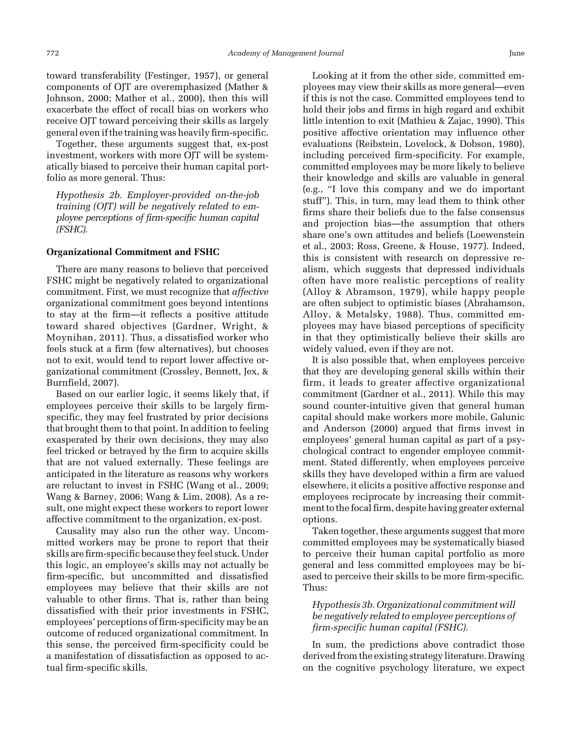toward transferability (Festinger, 1957), or general components of OJT are overemphasized (Mather & Johnson, 2000; Mather et al., 2000), then this will exacerbate the effect of recall bias on workers who receive OJT toward perceiving their skills as largely general even if the training was heavily firm-specific.

Together, these arguments suggest that, ex-post investment, workers with more OJT will be systematically biased to perceive their human capital portfolio as more general. Thus:

Hypothesis 2b. Employer-provided on-the-job training (OJT) will be negatively related to employee perceptions of firm-specific human capital (FSHC).

#### Organizational Commitment and FSHC

There are many reasons to believe that perceived FSHC might be negatively related to organizational commitment. First, we must recognize that affective organizational commitment goes beyond intentions to stay at the firm—it reflects a positive attitude toward shared objectives (Gardner, Wright, & Moynihan, 2011). Thus, a dissatisfied worker who feels stuck at a firm (few alternatives), but chooses not to exit, would tend to report lower affective organizational commitment (Crossley, Bennett, Jex, & Burnfield, 2007).

Based on our earlier logic, it seems likely that, if employees perceive their skills to be largely firmspecific, they may feel frustrated by prior decisions that brought them to that point. In addition to feeling exasperated by their own decisions, they may also feel tricked or betrayed by the firm to acquire skills that are not valued externally. These feelings are anticipated in the literature as reasons why workers are reluctant to invest in FSHC (Wang et al., 2009; Wang & Barney, 2006; Wang & Lim, 2008). As a result, one might expect these workers to report lower affective commitment to the organization, ex-post.

Causality may also run the other way. Uncommitted workers may be prone to report that their skills are firm-specific because they feel stuck. Under this logic, an employee's skills may not actually be firm-specific, but uncommitted and dissatisfied employees may believe that their skills are not valuable to other firms. That is, rather than being dissatisfied with their prior investments in FSHC, employees' perceptions of firm-specificity may be an outcome of reduced organizational commitment. In this sense, the perceived firm-specificity could be a manifestation of dissatisfaction as opposed to actual firm-specific skills.

Looking at it from the other side, committed employees may view their skills as more general—even if this is not the case. Committed employees tend to hold their jobs and firms in high regard and exhibit little intention to exit (Mathieu & Zajac, 1990). This positive affective orientation may influence other evaluations (Reibstein, Lovelock, & Dobson, 1980), including perceived firm-specificity. For example, committed employees may be more likely to believe their knowledge and skills are valuable in general (e.g., "I love this company and we do important stuff"). This, in turn, may lead them to think other firms share their beliefs due to the false consensus and projection bias—the assumption that others share one's own attitudes and beliefs (Loewenstein et al., 2003; Ross, Greene, & House, 1977). Indeed, this is consistent with research on depressive realism, which suggests that depressed individuals often have more realistic perceptions of reality (Alloy & Abramson, 1979), while happy people are often subject to optimistic biases (Abrahamson, Alloy, & Metalsky, 1988). Thus, committed employees may have biased perceptions of specificity in that they optimistically believe their skills are widely valued, even if they are not.

It is also possible that, when employees perceive that they are developing general skills within their firm, it leads to greater affective organizational commitment (Gardner et al., 2011). While this may sound counter-intuitive given that general human capital should make workers more mobile, Galunic and Anderson (2000) argued that firms invest in employees' general human capital as part of a psychological contract to engender employee commitment. Stated differently, when employees perceive skills they have developed within a firm are valued elsewhere, it elicits a positive affective response and employees reciprocate by increasing their commitment to the focal firm, despite having greater external options.

Taken together, these arguments suggest that more committed employees may be systematically biased to perceive their human capital portfolio as more general and less committed employees may be biased to perceive their skills to be more firm-specific. Thus:

# Hypothesis 3b. Organizational commitment will be negatively related to employee perceptions of firm-specific human capital (FSHC).

In sum, the predictions above contradict those derived from the existing strategy literature. Drawing on the cognitive psychology literature, we expect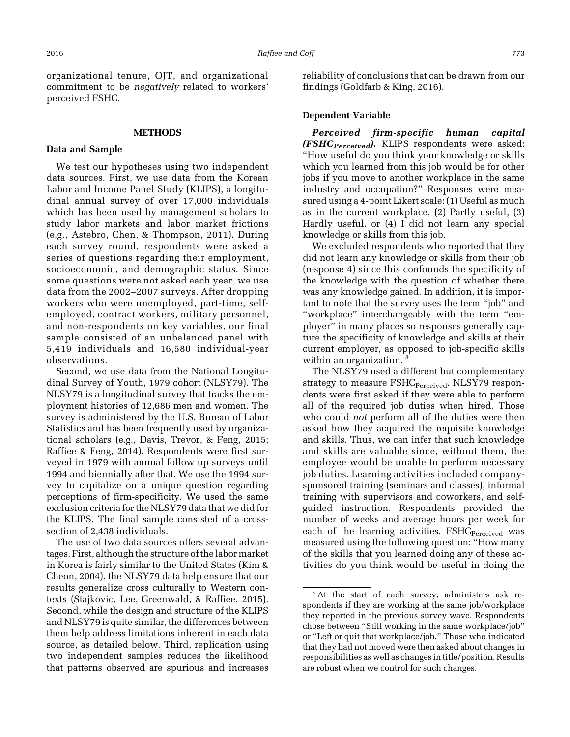organizational tenure, OJT, and organizational commitment to be negatively related to workers' perceived FSHC.

#### **METHODS**

#### Data and Sample

We test our hypotheses using two independent data sources. First, we use data from the Korean Labor and Income Panel Study (KLIPS), a longitudinal annual survey of over 17,000 individuals which has been used by management scholars to study labor markets and labor market frictions (e.g., Astebro, Chen, & Thompson, 2011). During each survey round, respondents were asked a series of questions regarding their employment, socioeconomic, and demographic status. Since some questions were not asked each year, we use data from the 2002–2007 surveys. After dropping workers who were unemployed, part-time, selfemployed, contract workers, military personnel, and non-respondents on key variables, our final sample consisted of an unbalanced panel with 5,419 individuals and 16,580 individual-year observations.

Second, we use data from the National Longitudinal Survey of Youth, 1979 cohort (NLSY79). The NLSY79 is a longitudinal survey that tracks the employment histories of 12,686 men and women. The survey is administered by the U.S. Bureau of Labor Statistics and has been frequently used by organizational scholars (e.g., Davis, Trevor, & Feng, 2015; Raffiee & Feng, 2014). Respondents were first surveyed in 1979 with annual follow up surveys until 1994 and biennially after that. We use the 1994 survey to capitalize on a unique question regarding perceptions of firm-specificity. We used the same exclusion criteria for the NLSY79 data that we did for the KLIPS. The final sample consisted of a crosssection of 2,438 individuals.

The use of two data sources offers several advantages. First, although the structure of the labor market in Korea is fairly similar to the United States (Kim & Cheon, 2004), the NLSY79 data help ensure that our results generalize cross culturally to Western contexts (Stajkovic, Lee, Greenwald, & Raffiee, 2015). Second, while the design and structure of the KLIPS and NLSY79 is quite similar, the differences between them help address limitations inherent in each data source, as detailed below. Third, replication using two independent samples reduces the likelihood that patterns observed are spurious and increases reliability of conclusions that can be drawn from our findings (Goldfarb & King, 2016).

### Dependent Variable

Perceived firm-specific human capital  $(FSHC_{Perceived})$ . KLIPS respondents were asked: "How useful do you think your knowledge or skills which you learned from this job would be for other jobs if you move to another workplace in the same industry and occupation?" Responses were measured using a 4-point Likert scale: (1) Useful as much as in the current workplace, (2) Partly useful, (3) Hardly useful, or (4) I did not learn any special knowledge or skills from this job.

We excluded respondents who reported that they did not learn any knowledge or skills from their job (response 4) since this confounds the specificity of the knowledge with the question of whether there was any knowledge gained. In addition, it is important to note that the survey uses the term "job" and "workplace" interchangeably with the term "employer" in many places so responses generally capture the specificity of knowledge and skills at their current employer, as opposed to job-specific skills within an organization.<sup>8</sup>

The NLSY79 used a different but complementary strategy to measure FSHC<sub>Perceived</sub>. NLSY79 respondents were first asked if they were able to perform all of the required job duties when hired. Those who could *not* perform all of the duties were then asked how they acquired the requisite knowledge and skills. Thus, we can infer that such knowledge and skills are valuable since, without them, the employee would be unable to perform necessary job duties. Learning activities included companysponsored training (seminars and classes), informal training with supervisors and coworkers, and selfguided instruction. Respondents provided the number of weeks and average hours per week for each of the learning activities. FSHC<sub>Perceived</sub> was measured using the following question: "How many of the skills that you learned doing any of these activities do you think would be useful in doing the

<sup>&</sup>lt;sup>8</sup> At the start of each survey, administers ask respondents if they are working at the same job/workplace they reported in the previous survey wave. Respondents chose between "Still working in the same workplace/job" or "Left or quit that workplace/job." Those who indicated that they had not moved were then asked about changes in responsibilities as well as changes in title/position. Results are robust when we control for such changes.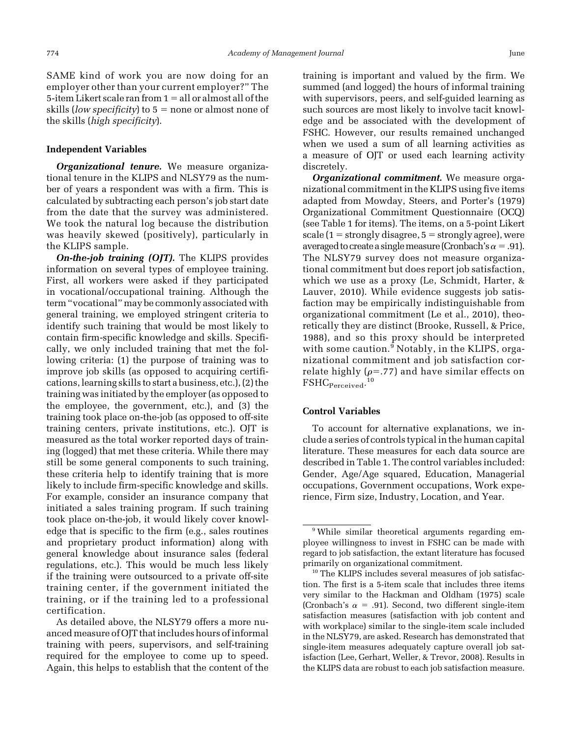SAME kind of work you are now doing for an employer other than your current employer?" The 5-item Likert scale ran from  $1 =$  all or almost all of the skills (low specificity) to  $5 =$  none or almost none of the skills (high specificity).

### Independent Variables

Organizational tenure. We measure organizational tenure in the KLIPS and NLSY79 as the number of years a respondent was with a firm. This is calculated by subtracting each person's job start date from the date that the survey was administered. We took the natural log because the distribution was heavily skewed (positively), particularly in the KLIPS sample.

On-the-job training (OJT). The KLIPS provides information on several types of employee training. First, all workers were asked if they participated in vocational/occupational training. Although the term "vocational" may be commonly associated with general training, we employed stringent criteria to identify such training that would be most likely to contain firm-specific knowledge and skills. Specifically, we only included training that met the following criteria: (1) the purpose of training was to improve job skills (as opposed to acquiring certifications, learning skills to start a business, etc.), (2) the training was initiated by the employer (as opposed to the employee, the government, etc.), and (3) the training took place on-the-job (as opposed to off-site training centers, private institutions, etc.). OJT is measured as the total worker reported days of training (logged) that met these criteria. While there may still be some general components to such training, these criteria help to identify training that is more likely to include firm-specific knowledge and skills. For example, consider an insurance company that initiated a sales training program. If such training took place on-the-job, it would likely cover knowledge that is specific to the firm (e.g., sales routines and proprietary product information) along with general knowledge about insurance sales (federal regulations, etc.). This would be much less likely if the training were outsourced to a private off-site training center, if the government initiated the training, or if the training led to a professional certification.

As detailed above, the NLSY79 offers a more nuanced measure of OJT that includes hours of informal training with peers, supervisors, and self-training required for the employee to come up to speed. Again, this helps to establish that the content of the training is important and valued by the firm. We summed (and logged) the hours of informal training with supervisors, peers, and self-guided learning as such sources are most likely to involve tacit knowledge and be associated with the development of FSHC. However, our results remained unchanged when we used a sum of all learning activities as a measure of OJT or used each learning activity discretely.

**Organizational commitment.** We measure organizational commitment in the KLIPS using five items adapted from Mowday, Steers, and Porter's (1979) Organizational Commitment Questionnaire (OCQ) (see Table 1 for items). The items, on a 5-point Likert  $scale(1 = strongly disagree, 5 = strongly aggregate), were$ averaged to create a single measure (Cronbach's  $\alpha = .91$ ). The NLSY79 survey does not measure organizational commitment but does report job satisfaction, which we use as a proxy (Le, Schmidt, Harter, & Lauver, 2010). While evidence suggests job satisfaction may be empirically indistinguishable from organizational commitment (Le et al., 2010), theoretically they are distinct (Brooke, Russell, & Price, 1988), and so this proxy should be interpreted with some caution.<sup>9</sup> Notably, in the KLIPS, organizational commitment and job satisfaction correlate highly ( $\rho$ =.77) and have similar effects on  $\mathrm{FSHC}_{\mathrm{Perceived}}$ .<sup>10</sup>

### Control Variables

To account for alternative explanations, we include a series of controls typical in the human capital literature. These measures for each data source are described in Table 1. The control variables included: Gender, Age/Age squared, Education, Managerial occupations, Government occupations, Work experience, Firm size, Industry, Location, and Year.

<sup>&</sup>lt;sup>9</sup> While similar theoretical arguments regarding employee willingness to invest in FSHC can be made with regard to job satisfaction, the extant literature has focused primarily on organizational commitment.

<sup>&</sup>lt;sup>10</sup> The KLIPS includes several measures of job satisfaction. The first is a 5-item scale that includes three items very similar to the Hackman and Oldham (1975) scale (Cronbach's  $\alpha = .91$ ). Second, two different single-item satisfaction measures (satisfaction with job content and with workplace) similar to the single-item scale included in the NLSY79, are asked. Research has demonstrated that single-item measures adequately capture overall job satisfaction (Lee, Gerhart, Weller, & Trevor, 2008). Results in the KLIPS data are robust to each job satisfaction measure.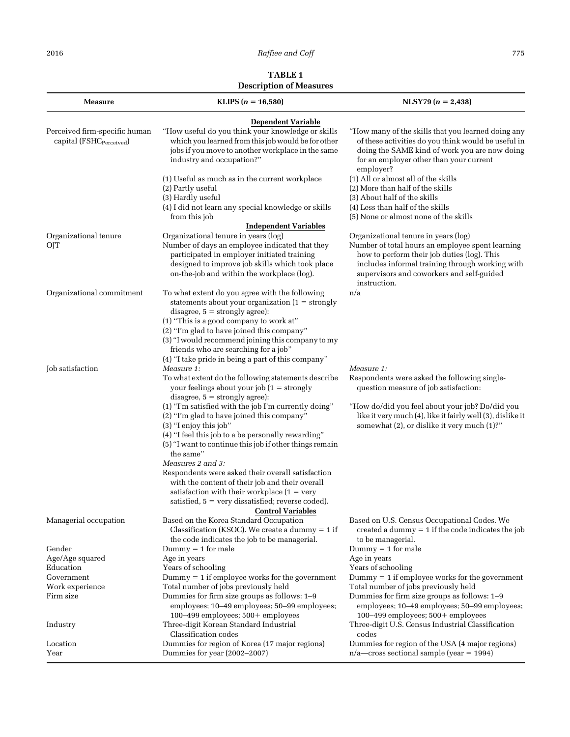# TABLE 1 Description of Measures

| <b>Measure</b>                                                        | KLIPS $(n = 16,580)$                                                                                                                                                                      | $NLSY79 (n = 2,438)$                                                                                                                                                                                  |
|-----------------------------------------------------------------------|-------------------------------------------------------------------------------------------------------------------------------------------------------------------------------------------|-------------------------------------------------------------------------------------------------------------------------------------------------------------------------------------------------------|
|                                                                       | <b>Dependent Variable</b>                                                                                                                                                                 |                                                                                                                                                                                                       |
| Perceived firm-specific human<br>capital (FSHC <sub>Perceived</sub> ) | "How useful do you think your knowledge or skills<br>which you learned from this job would be for other<br>jobs if you move to another workplace in the same<br>industry and occupation?" | "How many of the skills that you learned doing any<br>of these activities do you think would be useful in<br>doing the SAME kind of work you are now doing<br>for an employer other than your current |
|                                                                       |                                                                                                                                                                                           | employer?                                                                                                                                                                                             |
|                                                                       | (1) Useful as much as in the current workplace<br>(2) Partly useful                                                                                                                       | (1) All or almost all of the skills<br>(2) More than half of the skills                                                                                                                               |
|                                                                       | (3) Hardly useful                                                                                                                                                                         | (3) About half of the skills                                                                                                                                                                          |
|                                                                       | (4) I did not learn any special knowledge or skills                                                                                                                                       | (4) Less than half of the skills                                                                                                                                                                      |
|                                                                       | from this job                                                                                                                                                                             | (5) None or almost none of the skills                                                                                                                                                                 |
|                                                                       | <b>Independent Variables</b>                                                                                                                                                              |                                                                                                                                                                                                       |
| Organizational tenure<br>OJT                                          | Organizational tenure in years (log)<br>Number of days an employee indicated that they                                                                                                    | Organizational tenure in years (log)<br>Number of total hours an employee spent learning                                                                                                              |
|                                                                       | participated in employer initiated training                                                                                                                                               | how to perform their job duties (log). This                                                                                                                                                           |
|                                                                       | designed to improve job skills which took place<br>on-the-job and within the workplace (log).                                                                                             | includes informal training through working with<br>supervisors and coworkers and self-guided<br>instruction.                                                                                          |
| Organizational commitment                                             | To what extent do you agree with the following                                                                                                                                            | n/a                                                                                                                                                                                                   |
|                                                                       | statements about your organization $(1 = strongly$                                                                                                                                        |                                                                                                                                                                                                       |
|                                                                       | disagree, $5 =$ strongly agree):<br>(1) "This is a good company to work at"                                                                                                               |                                                                                                                                                                                                       |
|                                                                       | (2) "I'm glad to have joined this company"                                                                                                                                                |                                                                                                                                                                                                       |
|                                                                       | (3) "I would recommend joining this company to my                                                                                                                                         |                                                                                                                                                                                                       |
|                                                                       | friends who are searching for a job"                                                                                                                                                      |                                                                                                                                                                                                       |
|                                                                       | (4) "I take pride in being a part of this company"                                                                                                                                        |                                                                                                                                                                                                       |
| Job satisfaction                                                      | Measure 1:                                                                                                                                                                                | Measure 1:                                                                                                                                                                                            |
|                                                                       | To what extent do the following statements describe<br>your feelings about your job $(1 = strongly)$<br>disagree, $5 =$ strongly agree):                                                  | Respondents were asked the following single-<br>question measure of job satisfaction:                                                                                                                 |
|                                                                       | (1) "I'm satisfied with the job I'm currently doing"                                                                                                                                      | "How do/did you feel about your job? Do/did you                                                                                                                                                       |
|                                                                       | (2) "I'm glad to have joined this company"                                                                                                                                                | like it very much (4), like it fairly well (3), dislike it                                                                                                                                            |
|                                                                       | (3) "I enjoy this job"                                                                                                                                                                    | somewhat (2), or dislike it very much (1)?"                                                                                                                                                           |
|                                                                       | (4) "I feel this job to a be personally rewarding"<br>(5) "I want to continue this job if other things remain                                                                             |                                                                                                                                                                                                       |
|                                                                       | the same"                                                                                                                                                                                 |                                                                                                                                                                                                       |
|                                                                       | Measures 2 and 3:                                                                                                                                                                         |                                                                                                                                                                                                       |
|                                                                       | Respondents were asked their overall satisfaction                                                                                                                                         |                                                                                                                                                                                                       |
|                                                                       | with the content of their job and their overall<br>satisfaction with their workplace $(1 = \text{very})$                                                                                  |                                                                                                                                                                                                       |
|                                                                       | satisfied, $5 = \text{very dissatisfied}$ ; reverse coded).                                                                                                                               |                                                                                                                                                                                                       |
|                                                                       | <b>Control Variables</b>                                                                                                                                                                  |                                                                                                                                                                                                       |
| Managerial occupation                                                 | Based on the Korea Standard Occupation<br>Classification (KSOC). We create a dummy $= 1$ if<br>the code indicates the job to be managerial.                                               | Based on U.S. Census Occupational Codes. We<br>created a dummy $= 1$ if the code indicates the job<br>to be managerial.                                                                               |
| Gender                                                                | $Dummy = 1$ for male                                                                                                                                                                      | $Dummy = 1$ for male                                                                                                                                                                                  |
| Age/Age squared                                                       | Age in years                                                                                                                                                                              | Age in years                                                                                                                                                                                          |
| Education                                                             | Years of schooling                                                                                                                                                                        | Years of schooling                                                                                                                                                                                    |
| Government<br>Work experience                                         | $Dummy = 1$ if employee works for the government<br>Total number of jobs previously held                                                                                                  | $Dummy = 1$ if employee works for the government<br>Total number of jobs previously held                                                                                                              |
| Firm size                                                             | Dummies for firm size groups as follows: 1-9                                                                                                                                              | Dummies for firm size groups as follows: 1–9                                                                                                                                                          |
|                                                                       | employees; 10-49 employees; 50-99 employees;<br>100-499 employees; 500+ employees                                                                                                         | employees; 10-49 employees; 50-99 employees;<br>100-499 employees; 500+ employees                                                                                                                     |
| Industry                                                              | Three-digit Korean Standard Industrial<br>Classification codes                                                                                                                            | Three-digit U.S. Census Industrial Classification<br>codes                                                                                                                                            |
| Location                                                              | Dummies for region of Korea (17 major regions)                                                                                                                                            | Dummies for region of the USA (4 major regions)                                                                                                                                                       |
| Year                                                                  | Dummies for year (2002-2007)                                                                                                                                                              | $n/a$ —cross sectional sample (year = 1994)                                                                                                                                                           |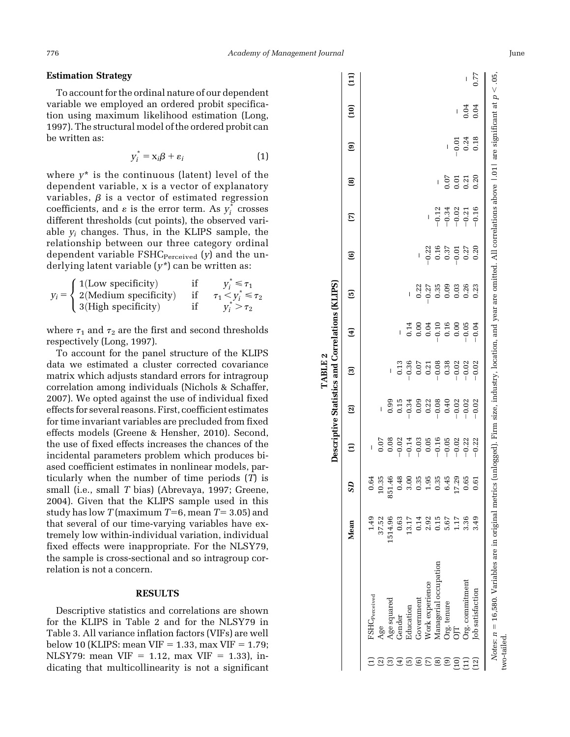### Estimation Strategy

To account for the ordinal nature of our dependent variable we employed an ordered probit specification using maximum likelihood estimation (Long, 1997). The structural model of the ordered probit can be written as:

$$
y_i^* = x_i \beta + \varepsilon_i \tag{1}
$$

where  $y^*$  is the continuous (latent) level of the dependent variable, x is a vector of explanatory variables,  $\beta$  is a vector of estimated regression coefficients, and  $\varepsilon$  is the error term. As  $y_i^*$  crosses different thresholds (cut points), the observed variable  $y_i$  changes. Thus, in the KLIPS sample, the relationship between our three category ordinal dependent variable  $\text{FSHC}_{\text{Perceived}}$  (y) and the underlying latent variable  $(y^*)$  can be written as:

$$
y_i = \begin{cases} 1(\text{Low specificity}) & \text{if} & y_i^* \leq \tau_1 \\ 2(\text{Median specificity}) & \text{if} & \tau_1 < y_i^* \leq \tau_2 \\ 3(\text{High specificity}) & \text{if} & y_i^* > \tau_2 \end{cases}
$$

where  $\tau_1$  and  $\tau_2$  are the first and second thresholds respectively (Long, 1997).

To account for the panel structure of the KLIPS data we estimated a cluster corrected covariance matrix which adjusts standard errors for intragroup correlation among individuals (Nichols & Schaffer, 2007). We opted against the use of individual fixed effects for several reasons. First, coefficient estimates for time invariant variables are precluded from fixed effects models (Greene & Hensher, 2010). Second, the use of fixed effects increases the chances of the incidental parameters problem which produces biased coefficient estimates in nonlinear models, particularly when the number of time periods (T) is small (i.e., small T bias) (Abrevaya, 1997; Greene, 2004). Given that the KLIPS sample used in this study has low T (maximum  $T=6$ , mean  $T=3.05$ ) and that several of our time-varying variables have extremely low within-individual variation, individual fixed effects were inappropriate. For the NLSY79, the sample is cross-sectional and so intragroup correlation is not a concern.

### RESULTS

Descriptive statistics and correlations are shown for the KLIPS in Table 2 and for the NLSY79 in Table 3. All variance inflation factors (VIFs) are well below 10 (KLIPS: mean VIF =  $1.33$ , max VIF =  $1.79$ ; NLSY79: mean VIF = 1.12, max VIF = 1.33), indicating that multicollinearity is not a significant

two-tailed.

wo-tailed

|                                     |                                                         |         |                                             |                                                                                                                                                                                                                                                                                                                                                 |                                                                          | TABLE <sub>2</sub> | Descriptive Statistics and Correlations (KLIPS)                                                                               |                                                                                                                                                                                                                                                                                                                   |                                                                |                               |                      |                             |                 |       |
|-------------------------------------|---------------------------------------------------------|---------|---------------------------------------------|-------------------------------------------------------------------------------------------------------------------------------------------------------------------------------------------------------------------------------------------------------------------------------------------------------------------------------------------------|--------------------------------------------------------------------------|--------------------|-------------------------------------------------------------------------------------------------------------------------------|-------------------------------------------------------------------------------------------------------------------------------------------------------------------------------------------------------------------------------------------------------------------------------------------------------------------|----------------------------------------------------------------|-------------------------------|----------------------|-----------------------------|-----------------|-------|
|                                     |                                                         | Mean    | S                                           | Ξ                                                                                                                                                                                                                                                                                                                                               | $\Xi$                                                                    | ම                  | $\widehat{\mathbf{f}}$                                                                                                        | ම                                                                                                                                                                                                                                                                                                                 | ම                                                              | $\overline{c}$                | ම                    | ම                           | $\overline{10}$ | $\Xi$ |
|                                     | 'SHC <sub>Perceived</sub>                               | 1.49    | 64                                          |                                                                                                                                                                                                                                                                                                                                                 |                                                                          |                    |                                                                                                                               |                                                                                                                                                                                                                                                                                                                   |                                                                |                               |                      |                             |                 |       |
|                                     | Age                                                     | 37.52   | 35<br>10.                                   |                                                                                                                                                                                                                                                                                                                                                 | $\mathsf{I}$                                                             |                    |                                                                                                                               |                                                                                                                                                                                                                                                                                                                   |                                                                |                               |                      |                             |                 |       |
|                                     | Age squared                                             | 1514.96 | 851.46                                      |                                                                                                                                                                                                                                                                                                                                                 |                                                                          | $\overline{1}$     |                                                                                                                               |                                                                                                                                                                                                                                                                                                                   |                                                                |                               |                      |                             |                 |       |
| Ξ                                   | Gender                                                  | 0.63    | 48                                          |                                                                                                                                                                                                                                                                                                                                                 |                                                                          |                    | $\overline{\phantom{a}}$                                                                                                      |                                                                                                                                                                                                                                                                                                                   |                                                                |                               |                      |                             |                 |       |
| ල                                   | Education                                               | 13.17   | $\overline{0}$<br>$\bar{c}$                 |                                                                                                                                                                                                                                                                                                                                                 |                                                                          |                    |                                                                                                                               | $\mathsf{I}$                                                                                                                                                                                                                                                                                                      |                                                                |                               |                      |                             |                 |       |
| ම                                   | Government                                              | 0.14    | 0.35                                        |                                                                                                                                                                                                                                                                                                                                                 |                                                                          |                    |                                                                                                                               |                                                                                                                                                                                                                                                                                                                   |                                                                |                               |                      |                             |                 |       |
| $\overline{C}$                      | <b>Nork</b> experience                                  | 2.92    | $\begin{array}{c} 1.95 \\ 0.35 \end{array}$ |                                                                                                                                                                                                                                                                                                                                                 | $0.99\n0.73\n0.73\n0.73\n0.73\n0.73\n0.73\n0.73\n0.73\n0.73\n0.73\n0.73$ |                    |                                                                                                                               |                                                                                                                                                                                                                                                                                                                   |                                                                | $\mathbf{I}$                  |                      |                             |                 |       |
| ම                                   | Managerial occupation                                   | 0.15    |                                             |                                                                                                                                                                                                                                                                                                                                                 |                                                                          |                    |                                                                                                                               |                                                                                                                                                                                                                                                                                                                   |                                                                |                               | $\mathbf{I}$         |                             |                 |       |
| ම                                   | Org. tenure                                             | 5.67    | 45<br>6                                     |                                                                                                                                                                                                                                                                                                                                                 |                                                                          |                    |                                                                                                                               |                                                                                                                                                                                                                                                                                                                   |                                                                | $-0.34$<br>$-0.34$<br>$-0.21$ |                      | $\overline{1}$              |                 |       |
| $\Xi$                               | JП                                                      | 1.17    | 17.29<br>0.65                               |                                                                                                                                                                                                                                                                                                                                                 |                                                                          |                    |                                                                                                                               |                                                                                                                                                                                                                                                                                                                   |                                                                |                               |                      |                             | $\mathsf I$     |       |
| $\begin{array}{c} 1 \end{array}$    | Org. commitment                                         | 3.36    |                                             | $\begin{array}{r} 0.07 \\ 0.08 \\ -0.02 \\ -0.03 \\ -0.05 \\ -0.05 \\ -0.05 \\ -0.05 \\ -0.02 \\ -0.03 \\ -0.22 \\ -0.23 \\ -0.24 \\ -0.22 \\ -0.24 \\ -0.24 \\ -0.25 \\ -0.28 \\ -0.28 \\ -0.29 \\ -0.29 \\ -0.29 \\ -0.29 \\ -0.29 \\ -0.29 \\ -0.29 \\ -0.29 \\ -0.29 \\ -0.29 \\ -0.29 \\ -0.29 \\ -0.29 \\ -0.29 \\ -0.29 \\ -0.29 \\ -0.$ | $-0.02$                                                                  |                    |                                                                                                                               | $\begin{array}{cccccc} 22 & 22 & 23 \\ 21 & 23 & 23 \\ 22 & 23 & 23 \\ 23 & 24 & 25 \\ 24 & 25 & 23 \\ 25 & 26 & 23 \\ 26 & 27 & 23 \\ 28 & 29 & 23 \\ 21 & 23 & 23 \\ 22 & 24 & 23 \\ 23 & 24 & 23 \\ 24 & 25 & 23 \\ 25 & 27 & 23 \\ 26 & 28 & 23 \\ 27 & 29 & 23 \\ 28 & 29 & 23 \\ 29 & 29 & 23 \\ 20 & 29 &$ | $-0.22$<br>$-0.16$<br>$-0.37$<br>$-0.07$<br>$-0.27$<br>$-0.20$ |                               | 0.51<br>0.51<br>0.30 | $-0.01$<br>$0.24$<br>$0.18$ | 0.04            | I     |
| $\begin{array}{c} (12) \end{array}$ | Job satisfaction                                        | 3.49    | 61                                          |                                                                                                                                                                                                                                                                                                                                                 | $-0.02$                                                                  | $-0.02$            |                                                                                                                               |                                                                                                                                                                                                                                                                                                                   |                                                                | $-0.16$                       |                      |                             |                 | 0.77  |
|                                     | Notes: $n = 16,580$ . Variables are in original metrics |         |                                             |                                                                                                                                                                                                                                                                                                                                                 |                                                                          |                    | (unlogged). Firm size, industry, location, and year are omitted. All correlations above $ .01 $ are significant at $p < 05$ , |                                                                                                                                                                                                                                                                                                                   |                                                                |                               |                      |                             |                 |       |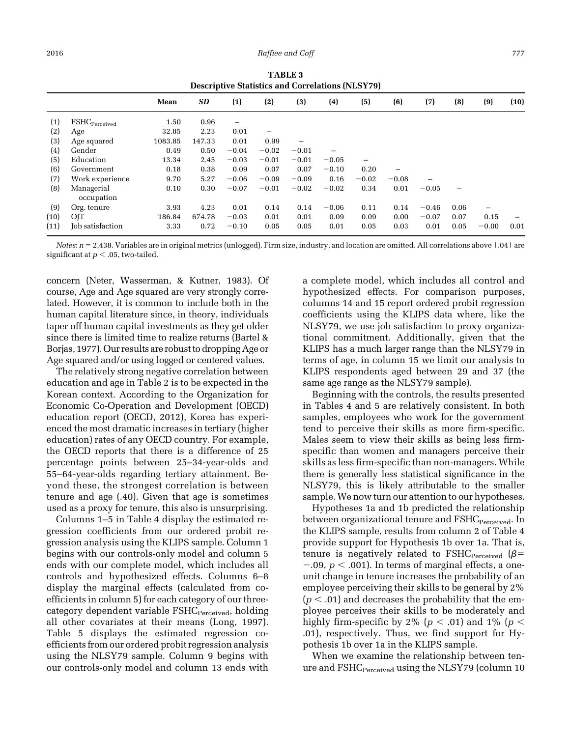|                   |                          |         |           |                 | Descriptive Statistics and Correlations (NLSY79) |                  |                   |         |         |         |                   |                   |      |
|-------------------|--------------------------|---------|-----------|-----------------|--------------------------------------------------|------------------|-------------------|---------|---------|---------|-------------------|-------------------|------|
|                   |                          | Mean    | <b>SD</b> | (1)             | (2)                                              | $\left(3\right)$ | $\left( 4\right)$ | (5)     | (6)     | (7)     | $\left( 8\right)$ | (9)               | (10) |
| (1)               | $\rm FSHC_{Perceived}$   | 1.50    | 0.96      | $\qquad \qquad$ |                                                  |                  |                   |         |         |         |                   |                   |      |
| (2)               | Age                      | 32.85   | 2.23      | 0.01            | —                                                |                  |                   |         |         |         |                   |                   |      |
| $\left(3\right)$  | Age squared              | 1083.85 | 147.33    | 0.01            | 0.99                                             | —                |                   |         |         |         |                   |                   |      |
| $\left( 4\right)$ | Gender                   | 0.49    | 0.50      | $-0.04$         | $-0.02$                                          | $-0.01$          |                   |         |         |         |                   |                   |      |
| (5)               | Education                | 13.34   | 2.45      | $-0.03$         | $-0.01$                                          | $-0.01$          | $-0.05$           | —       |         |         |                   |                   |      |
| (6)               | Government               | 0.18    | 0.38      | 0.09            | 0.07                                             | 0.07             | $-0.10$           | 0.20    |         |         |                   |                   |      |
| (7)               | Work experience          | 9.70    | 5.27      | $-0.06$         | $-0.09$                                          | $-0.09$          | 0.16              | $-0.02$ | $-0.08$ | -       |                   |                   |      |
| (8)               | Managerial<br>occupation | 0.10    | 0.30      | $-0.07$         | $-0.01$                                          | $-0.02$          | $-0.02$           | 0.34    | 0.01    | $-0.05$ | -                 |                   |      |
| (9)               | Org. tenure              | 3.93    | 4.23      | 0.01            | 0.14                                             | 0.14             | $-0.06$           | 0.11    | 0.14    | $-0.46$ | 0.06              | $\qquad \qquad -$ |      |
| (10)              | <b>OIT</b>               | 186.84  | 674.78    | $-0.03$         | 0.01                                             | 0.01             | 0.09              | 0.09    | 0.00    | $-0.07$ | 0.07              | 0.15              |      |
| (11)              | Job satisfaction         | 3.33    | 0.72      | $-0.10$         | 0.05                                             | 0.05             | 0.01              | 0.05    | 0.03    | 0.01    | 0.05              | $-0.00$           | 0.01 |

TABLE 3 Descriptive Statistics and Correlations (NLSY79)

Notes:  $n = 2,438$ . Variables are in original metrics (unlogged). Firm size, industry, and location are omitted. All correlations above  $|.04|$  are significant at  $p < .05$ , two-tailed.

concern (Neter, Wasserman, & Kutner, 1983). Of course, Age and Age squared are very strongly correlated. However, it is common to include both in the human capital literature since, in theory, individuals taper off human capital investments as they get older since there is limited time to realize returns (Bartel & Borjas, 1977). Our results are robust to dropping Age or Age squared and/or using logged or centered values.

The relatively strong negative correlation between education and age in Table 2 is to be expected in the Korean context. According to the Organization for Economic Co-Operation and Development (OECD) education report (OECD, 2012), Korea has experienced the most dramatic increases in tertiary (higher education) rates of any OECD country. For example, the OECD reports that there is a difference of 25 percentage points between 25–34-year-olds and 55–64-year-olds regarding tertiary attainment. Beyond these, the strongest correlation is between tenure and age (.40). Given that age is sometimes used as a proxy for tenure, this also is unsurprising.

Columns 1–5 in Table 4 display the estimated regression coefficients from our ordered probit regression analysis using the KLIPS sample. Column 1 begins with our controls-only model and column 5 ends with our complete model, which includes all controls and hypothesized effects. Columns 6–8 display the marginal effects (calculated from coefficients in column 5) for each category of our threecategory dependent variable FSHC<sub>Perceived</sub>, holding all other covariates at their means (Long, 1997). Table 5 displays the estimated regression coefficients from our ordered probit regression analysis using the NLSY79 sample. Column 9 begins with our controls-only model and column 13 ends with a complete model, which includes all control and hypothesized effects. For comparison purposes, columns 14 and 15 report ordered probit regression coefficients using the KLIPS data where, like the NLSY79, we use job satisfaction to proxy organizational commitment. Additionally, given that the KLIPS has a much larger range than the NLSY79 in terms of age, in column 15 we limit our analysis to KLIPS respondents aged between 29 and 37 (the same age range as the NLSY79 sample).

Beginning with the controls, the results presented in Tables 4 and 5 are relatively consistent. In both samples, employees who work for the government tend to perceive their skills as more firm-specific. Males seem to view their skills as being less firmspecific than women and managers perceive their skills as less firm-specific than non-managers. While there is generally less statistical significance in the NLSY79, this is likely attributable to the smaller sample. We now turn our attention to our hypotheses.

Hypotheses 1a and 1b predicted the relationship between organizational tenure and FSHC<sub>Perceived</sub>. In the KLIPS sample, results from column 2 of Table 4 provide support for Hypothesis 1b over 1a. That is, tenure is negatively related to FSHC  $Perceived$  ( $\beta$ =  $-0.09$ ,  $p < 0.001$ ). In terms of marginal effects, a oneunit change in tenure increases the probability of an employee perceiving their skills to be general by 2%  $(p < .01)$  and decreases the probability that the employee perceives their skills to be moderately and highly firm-specific by 2% ( $p < .01$ ) and 1% ( $p <$ .01), respectively. Thus, we find support for Hypothesis 1b over 1a in the KLIPS sample.

When we examine the relationship between tenure and FSHC<sub>Perceived</sub> using the NLSY79 (column 10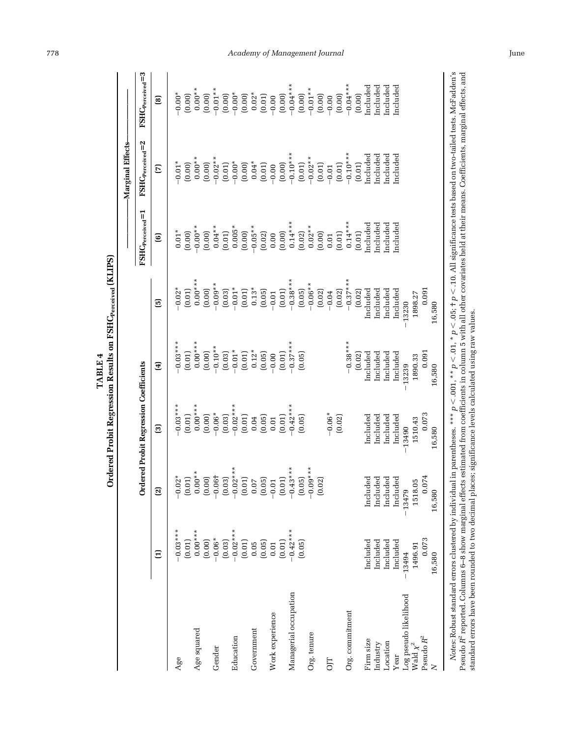|                                                                                                                                                                                                                                                                                                                                                                                                                                                                                                                           |            |                                                                                                                   |                                               | Ordered Probit Regression Results on FSHC <sub>Perceived</sub> (KLIPS) |                   |                                               | Marginal Effects-                    |                              |
|---------------------------------------------------------------------------------------------------------------------------------------------------------------------------------------------------------------------------------------------------------------------------------------------------------------------------------------------------------------------------------------------------------------------------------------------------------------------------------------------------------------------------|------------|-------------------------------------------------------------------------------------------------------------------|-----------------------------------------------|------------------------------------------------------------------------|-------------------|-----------------------------------------------|--------------------------------------|------------------------------|
|                                                                                                                                                                                                                                                                                                                                                                                                                                                                                                                           |            |                                                                                                                   | <b>Ordered Probit Regression Coefficients</b> |                                                                        |                   | $\mathrm{FSHC}_{\mathrm{Perceived}}\text{=}1$ | $\text{FSHC}_{\text{Percative}}$ d=2 | FSHC <sub>Perceived</sub> =3 |
|                                                                                                                                                                                                                                                                                                                                                                                                                                                                                                                           | Ξ          | $\overline{\mathbf{z}}$                                                                                           | ම                                             | $\Xi$                                                                  | ම                 | ම                                             | Σ                                    | ම                            |
| Age                                                                                                                                                                                                                                                                                                                                                                                                                                                                                                                       | $-0.03***$ | $-0.02*$                                                                                                          | $-0.03***$                                    | $-0.03***$                                                             | $-0.02*$          | $0.01*$                                       | $-0.01*$                             | $-0.00*$                     |
|                                                                                                                                                                                                                                                                                                                                                                                                                                                                                                                           | (0.01)     | $\left( 0.01\right)$                                                                                              | (0.01)                                        | (0.01)                                                                 | (0.01)            | (0.00)                                        | (0.00)                               | (0.00)                       |
| Age squared                                                                                                                                                                                                                                                                                                                                                                                                                                                                                                               | $0.00**$   | $0.00^{**}$                                                                                                       | $0.00***$                                     | $0.00**$                                                               | $0.00***$         | $-0.00**$                                     | $0.00**$                             | $0.00**$                     |
|                                                                                                                                                                                                                                                                                                                                                                                                                                                                                                                           | (0.00)     | $\begin{array}{l} (0.00) \\ -0.06 \\ -0.03 \\ (0.03) \\ -0.02^* \\ (0.01) \\ 0.05 \\ (0.05) \\ -0.01 \end{array}$ | (0.00)                                        | (0.00)                                                                 | (0.00)            | (0.00)                                        | (0.00)                               | (0.00)                       |
| Gender                                                                                                                                                                                                                                                                                                                                                                                                                                                                                                                    | $-0.06*$   |                                                                                                                   | $-0.06*$                                      | $-0.10**$                                                              | $-0.09**$         | $0.04**$                                      | $-0.02**$                            | $-0.01**$                    |
|                                                                                                                                                                                                                                                                                                                                                                                                                                                                                                                           | (0.03)     |                                                                                                                   | (0.03)                                        | (0.03)                                                                 | (0.03)            | (0.01)                                        | (0.01)                               | (0.00)                       |
| Education                                                                                                                                                                                                                                                                                                                                                                                                                                                                                                                 | $-0.02***$ |                                                                                                                   | $-0.02***$                                    | $-0.01*$                                                               | $-0.01*$          | $0.005*$                                      | $-0.00*$                             | $-0.00*$                     |
|                                                                                                                                                                                                                                                                                                                                                                                                                                                                                                                           | (0.01)     |                                                                                                                   | (0.01)                                        | (0.01)                                                                 | (0.01)            | (0.00)                                        | (0.00)                               | (0.00)                       |
| Government                                                                                                                                                                                                                                                                                                                                                                                                                                                                                                                | 0.05       |                                                                                                                   | 0.04                                          | $0.12*$                                                                | $0.13*$           | $-0.05**$                                     | $0.04*$                              | $0.02*$                      |
|                                                                                                                                                                                                                                                                                                                                                                                                                                                                                                                           | (0.05)     |                                                                                                                   | (0.05)                                        | (0.05)                                                                 | (0.05)            | (0.02)                                        | (0.01)                               | (0.01)                       |
| Work experience                                                                                                                                                                                                                                                                                                                                                                                                                                                                                                           | $0.01\,$   |                                                                                                                   | 0.01                                          | $-0.00$                                                                | $-0.01$           | 0.00                                          | $-0.00$                              | $-0.00$                      |
|                                                                                                                                                                                                                                                                                                                                                                                                                                                                                                                           | (0.01)     | $(0.01)$                                                                                                          | (0.01)                                        | (0.01)                                                                 | (0.01)            | (0.00)                                        | (0.00)                               | (0.00)                       |
| Managerial occupation                                                                                                                                                                                                                                                                                                                                                                                                                                                                                                     | $-0.42***$ | $-0.43***$                                                                                                        | $-0.42***$                                    | $-0.37***$                                                             | $-0.38***$        | $0.14***$                                     | $-0.10***$                           | $-0.04***$                   |
|                                                                                                                                                                                                                                                                                                                                                                                                                                                                                                                           | (0.05)     | (0.05)                                                                                                            | (0.05)                                        | (0.05)                                                                 | (0.05)            | (0.02)                                        | (0.01)                               | (0.00)                       |
| Org. tenure                                                                                                                                                                                                                                                                                                                                                                                                                                                                                                               |            | $-0.09***$                                                                                                        |                                               |                                                                        | $-0.06**$         | $0.02**$                                      | $-0.02**$                            | $-0.01**$                    |
|                                                                                                                                                                                                                                                                                                                                                                                                                                                                                                                           |            | (0.02)                                                                                                            |                                               |                                                                        | (0.02)            | (0.00)                                        | (0.01)                               | (0.00)                       |
| 5h                                                                                                                                                                                                                                                                                                                                                                                                                                                                                                                        |            |                                                                                                                   | $-0.06*$                                      |                                                                        | $-0.04$           | $0.01\,$                                      | $-0.01$                              | $-0.00$                      |
|                                                                                                                                                                                                                                                                                                                                                                                                                                                                                                                           |            |                                                                                                                   | (0.02)                                        |                                                                        | (0.02)            | (0.01)                                        | (0.01)                               | (0.00)                       |
| Org. commitment                                                                                                                                                                                                                                                                                                                                                                                                                                                                                                           |            |                                                                                                                   |                                               | $-0.38***$                                                             | $-0.37***$        | $0.14***$                                     | $-0.10***$                           | $-0.04***$                   |
|                                                                                                                                                                                                                                                                                                                                                                                                                                                                                                                           |            |                                                                                                                   |                                               | (0.02)                                                                 | (0.02)            | (0.01)                                        | (0.01)                               | (0.00)                       |
| Firm size                                                                                                                                                                                                                                                                                                                                                                                                                                                                                                                 | Included   | Included                                                                                                          | Included                                      | $_{\rm induced}$                                                       | Included          | Included                                      | Included                             | ncluded                      |
| Industry                                                                                                                                                                                                                                                                                                                                                                                                                                                                                                                  | Included   | Included                                                                                                          | Included                                      | Included                                                               | $_{\rm included}$ | ncluded                                       | ncluded                              | ncluded                      |
| Location                                                                                                                                                                                                                                                                                                                                                                                                                                                                                                                  | Included   | Included                                                                                                          | $_{\rm included}$                             | $_{\rm{inded}}$                                                        | Included          | ncluded                                       | ncluded                              | ncluded                      |
| Year                                                                                                                                                                                                                                                                                                                                                                                                                                                                                                                      | Included   | Included                                                                                                          | Included                                      | $_{\rm{inded}}$                                                        | Included          | $_{\rm included}$                             | Included                             | Included                     |
| Log pseudo likelihood                                                                                                                                                                                                                                                                                                                                                                                                                                                                                                     | $-13494$   | $-13479$                                                                                                          | 13490                                         | $-13239$                                                               | $-13230$          |                                               |                                      |                              |
| Wald $\chi^2$                                                                                                                                                                                                                                                                                                                                                                                                                                                                                                             | 1496.91    | 1518.05                                                                                                           | 1510.43                                       | 1890.33                                                                | 1898.27           |                                               |                                      |                              |
| Pseudo $R^2$                                                                                                                                                                                                                                                                                                                                                                                                                                                                                                              | 0.073      | 0.074                                                                                                             | 0.073                                         | 0.091                                                                  | 0.091             |                                               |                                      |                              |
| $\geq$                                                                                                                                                                                                                                                                                                                                                                                                                                                                                                                    | 16,580     | 16,580                                                                                                            | 16,580                                        | 16,580                                                                 | 16,580            |                                               |                                      |                              |
| Notes: Robust standard errors clustered by individual in parentheses. *** $p < 0.01$ , ** $p < 0.01$ , * $p < 0.05$ , * $p < 0.01$ , * $p < 0.01$ . *10. All significance tests based on two-tailed tests. McFadden's<br>Pseudo $R^2$ reported. Columns 6–8 show marginal effects estimated from coefficients in column 5 with all other covariates held at their means. Coefficients, marginal effects, and<br>standard errors have been rounded to two decimal places; significance levels calculated using raw values. |            |                                                                                                                   |                                               |                                                                        |                   |                                               |                                      |                              |

TABLE 4

TABLE<sub>4</sub>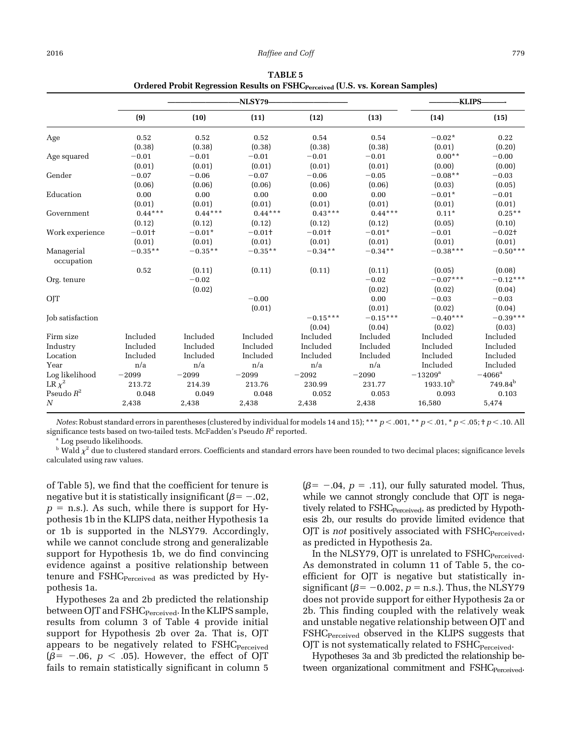|                          |                      |           | NLSY79-              |                      |            | <b>KLIPS</b>     |                 |
|--------------------------|----------------------|-----------|----------------------|----------------------|------------|------------------|-----------------|
|                          | (9)                  | (10)      | (11)                 | (12)                 | (13)       | (14)             | (15)            |
| Age                      | 0.52                 | 0.52      | 0.52                 | 0.54                 | 0.54       | $-0.02*$         | 0.22            |
|                          | (0.38)               | (0.38)    | (0.38)               | (0.38)               | (0.38)     | (0.01)           | (0.20)          |
| Age squared              | $-0.01$              | $-0.01$   | $-0.01$              | $-0.01$              | $-0.01$    | $0.00**$         | $-0.00$         |
|                          | (0.01)               | (0.01)    | (0.01)               | (0.01)               | (0.01)     | (0.00)           | (0.00)          |
| Gender                   | $-0.07$              | $-0.06$   | $-0.07$              | $-0.06$              | $-0.05$    | $-0.08**$        | $-0.03$         |
|                          | (0.06)               | (0.06)    | (0.06)               | (0.06)               | (0.06)     | (0.03)           | (0.05)          |
| Education                | 0.00                 | 0.00      | 0.00                 | 0.00                 | 0.00       | $-0.01*$         | $-0.01$         |
|                          | (0.01)               | (0.01)    | (0.01)               | (0.01)               | (0.01)     | (0.01)           | (0.01)          |
| Government               | $0.44***$            | $0.44***$ | $0.44***$            | $0.43***$            | $0.44***$  | $0.11*$          | $0.25**$        |
|                          | (0.12)               | (0.12)    | (0.12)               | (0.12)               | (0.12)     | (0.05)           | (0.10)          |
| Work experience          | $-0.01$ <sup>+</sup> | $-0.01*$  | $-0.01$ <sup>+</sup> | $-0.01$ <sup>+</sup> | $-0.01*$   | $-0.01$          | $-0.02$ †       |
|                          | (0.01)               | (0.01)    | (0.01)               | (0.01)               | (0.01)     | (0.01)           | (0.01)          |
| Managerial<br>occupation | $-0.35**$            | $-0.35**$ | $-0.35**$            | $-0.34**$            | $-0.34**$  | $-0.38***$       | $-0.50***$      |
|                          | 0.52                 | (0.11)    | (0.11)               | (0.11)               | (0.11)     | (0.05)           | (0.08)          |
| Org. tenure              |                      | $-0.02$   |                      |                      | $-0.02$    | $-0.07***$       | $-0.12***$      |
|                          |                      | (0.02)    |                      |                      | (0.02)     | (0.02)           | (0.04)          |
| OJT                      |                      |           | $-0.00$              |                      | 0.00       | $-0.03$          | $-0.03$         |
|                          |                      |           | (0.01)               |                      | (0.01)     | (0.02)           | (0.04)          |
| Job satisfaction         |                      |           |                      | $-0.15***$           | $-0.15***$ | $-0.40***$       | $-0.39***$      |
|                          |                      |           |                      | (0.04)               | (0.04)     | (0.02)           | (0.03)          |
| Firm size                | Included             | Included  | Included             | Included             | Included   | Included         | Included        |
| Industry                 | Included             | Included  | Included             | Included             | Included   | Included         | Included        |
| Location                 | Included             | Included  | Included             | Included             | Included   | Included         | Included        |
| Year                     | n/a                  | n/a       | n/a                  | n/a                  | n/a        | Included         | Included        |
| Log likelihood           | $-2099$              | $-2099$   | $-2099$              | $-2092$              | $-2090$    | $-13209^{\rm a}$ | $-4066^{\rm a}$ |
| $LR \chi^2$              | 213.72               | 214.39    | 213.76               | 230.99               | 231.77     | $1933.10^{b}$    | $749.84^{b}$    |
| Pseudo $R^2$             | 0.048                | 0.049     | 0.048                | 0.052                | 0.053      | 0.093            | 0.103           |
| Ν                        | 2,438                | 2,438     | 2,438                | 2,438                | 2,438      | 16,580           | 5,474           |

TABLE 5 Ordered Probit Regression Results on FSHC<sub>Perceived</sub> (U.S. vs. Korean Samples)

Notes: Robust standard errors in parentheses (clustered by individual for models 14 and 15); \*\*\*  $p < .001$ , \*\*  $p < .01$ , \*  $p < .05$ ; †  $p < .10$ . All significance tests based on two-tailed tests. McFadden's Pseudo  $R^2$  reported.

<sup>a</sup> Log pseudo likelihoods.

<sup>b</sup> Wald  $\chi^2$  due to clustered standard errors. Coefficients and standard errors have been rounded to two decimal places; significance levels calculated using raw values.

of Table 5), we find that the coefficient for tenure is negative but it is statistically insignificant ( $\beta$ = -.02,  $p =$  n.s.). As such, while there is support for Hypothesis 1b in the KLIPS data, neither Hypothesis 1a or 1b is supported in the NLSY79. Accordingly, while we cannot conclude strong and generalizable support for Hypothesis 1b, we do find convincing evidence against a positive relationship between tenure and FSHC<sub>Perceived</sub> as was predicted by Hypothesis 1a.

Hypotheses 2a and 2b predicted the relationship between OJT and FSHC<sub>Perceived</sub>. In the KLIPS sample, results from column 3 of Table 4 provide initial support for Hypothesis 2b over 2a. That is, OJT appears to be negatively related to FSHC<sub>Perceived</sub>  $(\beta = -0.06, p < .05)$ . However, the effect of OJT fails to remain statistically significant in column 5

 $(\beta = -.04, p = .11)$ , our fully saturated model. Thus, while we cannot strongly conclude that OJT is negatively related to FSHC<sub>Perceived</sub>, as predicted by Hypothesis 2b, our results do provide limited evidence that OJT is not positively associated with  $\text{FSHC}_{\text{Perceived}}$ , as predicted in Hypothesis 2a.

In the NLSY79, OJT is unrelated to  $\text{FSHC}_{\text{Perceived}}$ . As demonstrated in column 11 of Table 5, the coefficient for OJT is negative but statistically insignificant ( $\beta$ = -0.002, p = n.s.). Thus, the NLSY79 does not provide support for either Hypothesis 2a or 2b. This finding coupled with the relatively weak and unstable negative relationship between OJT and FSHC<sub>Perceived</sub> observed in the KLIPS suggests that OJT is not systematically related to FSHC<sub>Perceived</sub>.

Hypotheses 3a and 3b predicted the relationship between organizational commitment and FSHC<sub>Perceived</sub>.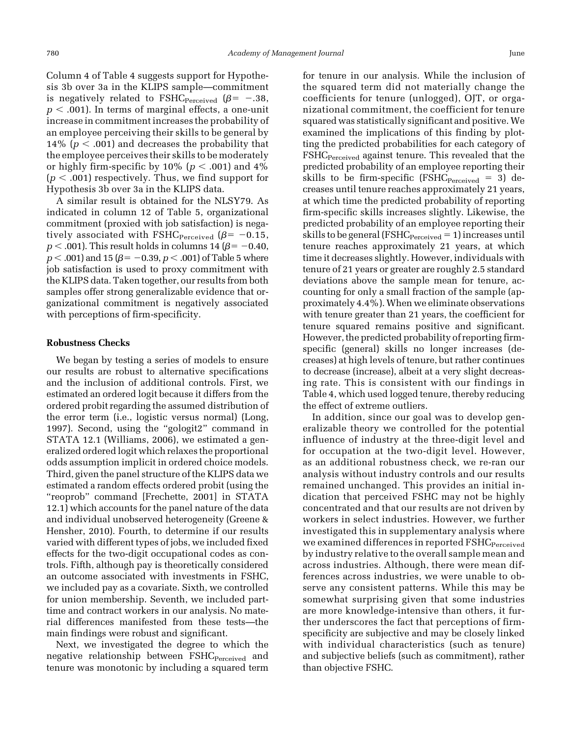Column 4 of Table 4 suggests support for Hypothesis 3b over 3a in the KLIPS sample—commitment is negatively related to FSHC<sub>Perceived</sub>  $(\beta = -0.38,$  $p < .001$ ). In terms of marginal effects, a one-unit increase in commitment increases the probability of an employee perceiving their skills to be general by 14% ( $p < .001$ ) and decreases the probability that the employee perceives their skills to be moderately or highly firm-specific by 10% ( $p < .001$ ) and 4%  $(p < .001)$  respectively. Thus, we find support for Hypothesis 3b over 3a in the KLIPS data.

A similar result is obtained for the NLSY79. As indicated in column 12 of Table 5, organizational commitment (proxied with job satisfaction) is negatively associated with FSHC<sub>Perceived</sub> ( $\beta$ = -0.15,  $p < .001$ ). This result holds in columns 14 ( $\beta$ = -0.40,  $p < .001$ ) and 15 ( $\beta$ = -0.39,  $p < .001$ ) of Table 5 where job satisfaction is used to proxy commitment with the KLIPS data. Taken together, our results from both samples offer strong generalizable evidence that organizational commitment is negatively associated with perceptions of firm-specificity.

### Robustness Checks

We began by testing a series of models to ensure our results are robust to alternative specifications and the inclusion of additional controls. First, we estimated an ordered logit because it differs from the ordered probit regarding the assumed distribution of the error term (i.e., logistic versus normal) (Long, 1997). Second, using the "gologit2" command in STATA 12.1 (Williams, 2006), we estimated a generalized ordered logit which relaxes the proportional odds assumption implicit in ordered choice models. Third, given the panel structure of the KLIPS data we estimated a random effects ordered probit (using the "reoprob" command [Frechette, 2001] in STATA 12.1) which accounts for the panel nature of the data and individual unobserved heterogeneity (Greene & Hensher, 2010). Fourth, to determine if our results varied with different types of jobs, we included fixed effects for the two-digit occupational codes as controls. Fifth, although pay is theoretically considered an outcome associated with investments in FSHC, we included pay as a covariate. Sixth, we controlled for union membership. Seventh, we included parttime and contract workers in our analysis. No material differences manifested from these tests—the main findings were robust and significant.

Next, we investigated the degree to which the negative relationship between FSHC<sub>Perceived</sub> and tenure was monotonic by including a squared term

for tenure in our analysis. While the inclusion of the squared term did not materially change the coefficients for tenure (unlogged), OJT, or organizational commitment, the coefficient for tenure squared was statistically significant and positive. We examined the implications of this finding by plotting the predicted probabilities for each category of FSHC<sub>Perceived</sub> against tenure. This revealed that the predicted probability of an employee reporting their skills to be firm-specific (FSHC $_{\text{Perceived}} = 3$ ) decreases until tenure reaches approximately 21 years, at which time the predicted probability of reporting firm-specific skills increases slightly. Likewise, the predicted probability of an employee reporting their skills to be general (FSH $C_{\rm Perceived}$  = 1) increases until tenure reaches approximately 21 years, at which time it decreases slightly. However, individuals with tenure of 21 years or greater are roughly 2.5 standard deviations above the sample mean for tenure, accounting for only a small fraction of the sample (approximately 4.4%). When we eliminate observations with tenure greater than 21 years, the coefficient for tenure squared remains positive and significant. However, the predicted probability of reporting firmspecific (general) skills no longer increases (decreases) at high levels of tenure, but rather continues to decrease (increase), albeit at a very slight decreasing rate. This is consistent with our findings in Table 4, which used logged tenure, thereby reducing the effect of extreme outliers.

In addition, since our goal was to develop generalizable theory we controlled for the potential influence of industry at the three-digit level and for occupation at the two-digit level. However, as an additional robustness check, we re-ran our analysis without industry controls and our results remained unchanged. This provides an initial indication that perceived FSHC may not be highly concentrated and that our results are not driven by workers in select industries. However, we further investigated this in supplementary analysis where we examined differences in reported FSHC<sub>Perceived</sub> by industry relative to the overall sample mean and across industries. Although, there were mean differences across industries, we were unable to observe any consistent patterns. While this may be somewhat surprising given that some industries are more knowledge-intensive than others, it further underscores the fact that perceptions of firmspecificity are subjective and may be closely linked with individual characteristics (such as tenure) and subjective beliefs (such as commitment), rather than objective FSHC.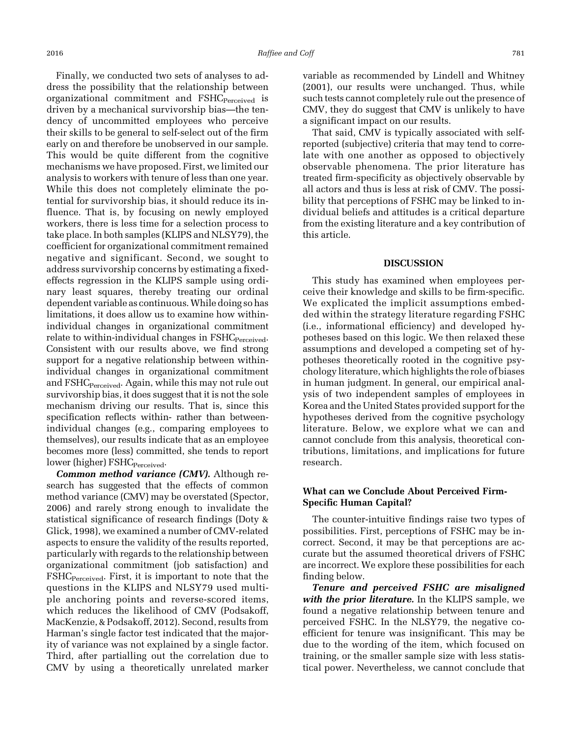Finally, we conducted two sets of analyses to address the possibility that the relationship between organizational commitment and FSHC<sub>Perceived</sub> is driven by a mechanical survivorship bias—the tendency of uncommitted employees who perceive their skills to be general to self-select out of the firm early on and therefore be unobserved in our sample. This would be quite different from the cognitive mechanisms we have proposed. First, we limited our analysis to workers with tenure of less than one year. While this does not completely eliminate the potential for survivorship bias, it should reduce its influence. That is, by focusing on newly employed workers, there is less time for a selection process to take place. In both samples (KLIPS and NLSY79), the coefficient for organizational commitment remained negative and significant. Second, we sought to address survivorship concerns by estimating a fixedeffects regression in the KLIPS sample using ordinary least squares, thereby treating our ordinal dependent variable as continuous.While doing so has limitations, it does allow us to examine how withinindividual changes in organizational commitment relate to within-individual changes in FSHC<sub>Perceived</sub>. Consistent with our results above, we find strong support for a negative relationship between withinindividual changes in organizational commitment and FSHC<sub>Perceived</sub>. Again, while this may not rule out survivorship bias, it does suggest that it is not the sole mechanism driving our results. That is, since this specification reflects within- rather than betweenindividual changes (e.g., comparing employees to themselves), our results indicate that as an employee becomes more (less) committed, she tends to report lower (higher) FSHC<sub>Perceived</sub>.

Common method variance (CMV). Although research has suggested that the effects of common method variance (CMV) may be overstated (Spector, 2006) and rarely strong enough to invalidate the statistical significance of research findings (Doty & Glick, 1998), we examined a number of CMV-related aspects to ensure the validity of the results reported, particularly with regards to the relationship between organizational commitment (job satisfaction) and FSHC<sub>Perceived</sub>. First, it is important to note that the questions in the KLIPS and NLSY79 used multiple anchoring points and reverse-scored items, which reduces the likelihood of CMV (Podsakoff, MacKenzie, & Podsakoff, 2012). Second, results from Harman's single factor test indicated that the majority of variance was not explained by a single factor. Third, after partialling out the correlation due to CMV by using a theoretically unrelated marker variable as recommended by Lindell and Whitney (2001), our results were unchanged. Thus, while such tests cannot completely rule out the presence of CMV, they do suggest that CMV is unlikely to have a significant impact on our results.

That said, CMV is typically associated with selfreported (subjective) criteria that may tend to correlate with one another as opposed to objectively observable phenomena. The prior literature has treated firm-specificity as objectively observable by all actors and thus is less at risk of CMV. The possibility that perceptions of FSHC may be linked to individual beliefs and attitudes is a critical departure from the existing literature and a key contribution of this article.

### DISCUSSION

This study has examined when employees perceive their knowledge and skills to be firm-specific. We explicated the implicit assumptions embedded within the strategy literature regarding FSHC (i.e., informational efficiency) and developed hypotheses based on this logic. We then relaxed these assumptions and developed a competing set of hypotheses theoretically rooted in the cognitive psychology literature, which highlights the role of biases in human judgment. In general, our empirical analysis of two independent samples of employees in Korea and the United States provided support for the hypotheses derived from the cognitive psychology literature. Below, we explore what we can and cannot conclude from this analysis, theoretical contributions, limitations, and implications for future research.

# What can we Conclude About Perceived Firm-Specific Human Capital?

The counter-intuitive findings raise two types of possibilities. First, perceptions of FSHC may be incorrect. Second, it may be that perceptions are accurate but the assumed theoretical drivers of FSHC are incorrect. We explore these possibilities for each finding below.

Tenure and perceived FSHC are misaligned with the prior literature. In the KLIPS sample, we found a negative relationship between tenure and perceived FSHC. In the NLSY79, the negative coefficient for tenure was insignificant. This may be due to the wording of the item, which focused on training, or the smaller sample size with less statistical power. Nevertheless, we cannot conclude that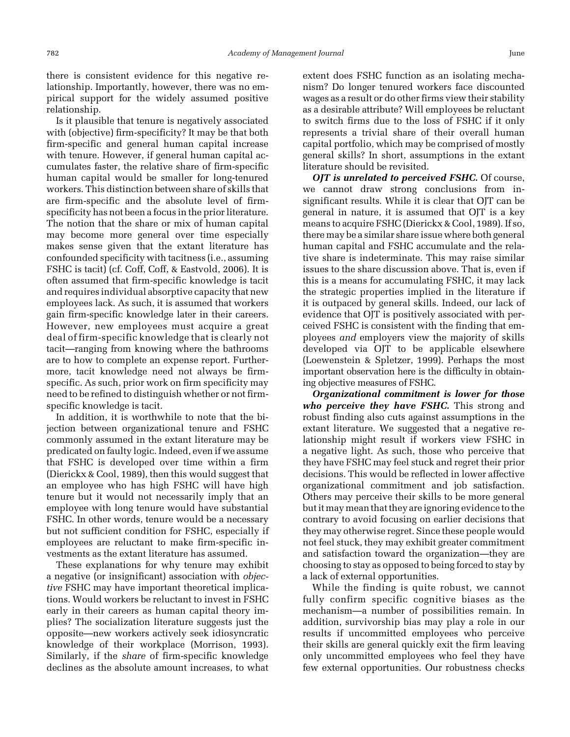there is consistent evidence for this negative relationship. Importantly, however, there was no empirical support for the widely assumed positive relationship.

Is it plausible that tenure is negatively associated with (objective) firm-specificity? It may be that both firm-specific and general human capital increase with tenure. However, if general human capital accumulates faster, the relative share of firm-specific human capital would be smaller for long-tenured workers. This distinction between share of skills that are firm-specific and the absolute level of firmspecificity has not been a focus in the prior literature. The notion that the share or mix of human capital may become more general over time especially makes sense given that the extant literature has confounded specificity with tacitness (i.e., assuming FSHC is tacit) (cf. Coff, Coff, & Eastvold, 2006). It is often assumed that firm-specific knowledge is tacit and requires individual absorptive capacity that new employees lack. As such, it is assumed that workers gain firm-specific knowledge later in their careers. However, new employees must acquire a great deal of firm-specific knowledge that is clearly not tacit—ranging from knowing where the bathrooms are to how to complete an expense report. Furthermore, tacit knowledge need not always be firmspecific. As such, prior work on firm specificity may need to be refined to distinguish whether or not firmspecific knowledge is tacit.

In addition, it is worthwhile to note that the bijection between organizational tenure and FSHC commonly assumed in the extant literature may be predicated on faulty logic. Indeed, even if we assume that FSHC is developed over time within a firm (Dierickx & Cool, 1989), then this would suggest that an employee who has high FSHC will have high tenure but it would not necessarily imply that an employee with long tenure would have substantial FSHC. In other words, tenure would be a necessary but not sufficient condition for FSHC, especially if employees are reluctant to make firm-specific investments as the extant literature has assumed.

These explanations for why tenure may exhibit a negative (or insignificant) association with objective FSHC may have important theoretical implications. Would workers be reluctant to invest in FSHC early in their careers as human capital theory implies? The socialization literature suggests just the opposite—new workers actively seek idiosyncratic knowledge of their workplace (Morrison, 1993). Similarly, if the share of firm-specific knowledge declines as the absolute amount increases, to what extent does FSHC function as an isolating mechanism? Do longer tenured workers face discounted wages as a result or do other firms view their stability as a desirable attribute? Will employees be reluctant to switch firms due to the loss of FSHC if it only represents a trivial share of their overall human capital portfolio, which may be comprised of mostly general skills? In short, assumptions in the extant literature should be revisited.

OJT is unrelated to perceived FSHC. Of course, we cannot draw strong conclusions from insignificant results. While it is clear that OJT can be general in nature, it is assumed that OJT is a key means to acquire FSHC (Dierickx & Cool, 1989). If so, there may be a similar share issue where both general human capital and FSHC accumulate and the relative share is indeterminate. This may raise similar issues to the share discussion above. That is, even if this is a means for accumulating FSHC, it may lack the strategic properties implied in the literature if it is outpaced by general skills. Indeed, our lack of evidence that OJT is positively associated with perceived FSHC is consistent with the finding that employees and employers view the majority of skills developed via OJT to be applicable elsewhere (Loewenstein & Spletzer, 1999). Perhaps the most important observation here is the difficulty in obtaining objective measures of FSHC.

Organizational commitment is lower for those who perceive they have FSHC. This strong and robust finding also cuts against assumptions in the extant literature. We suggested that a negative relationship might result if workers view FSHC in a negative light. As such, those who perceive that they have FSHC may feel stuck and regret their prior decisions. This would be reflected in lower affective organizational commitment and job satisfaction. Others may perceive their skills to be more general but it may mean that they are ignoring evidence to the contrary to avoid focusing on earlier decisions that they may otherwise regret. Since these people would not feel stuck, they may exhibit greater commitment and satisfaction toward the organization—they are choosing to stay as opposed to being forced to stay by a lack of external opportunities.

While the finding is quite robust, we cannot fully confirm specific cognitive biases as the mechanism—a number of possibilities remain. In addition, survivorship bias may play a role in our results if uncommitted employees who perceive their skills are general quickly exit the firm leaving only uncommitted employees who feel they have few external opportunities. Our robustness checks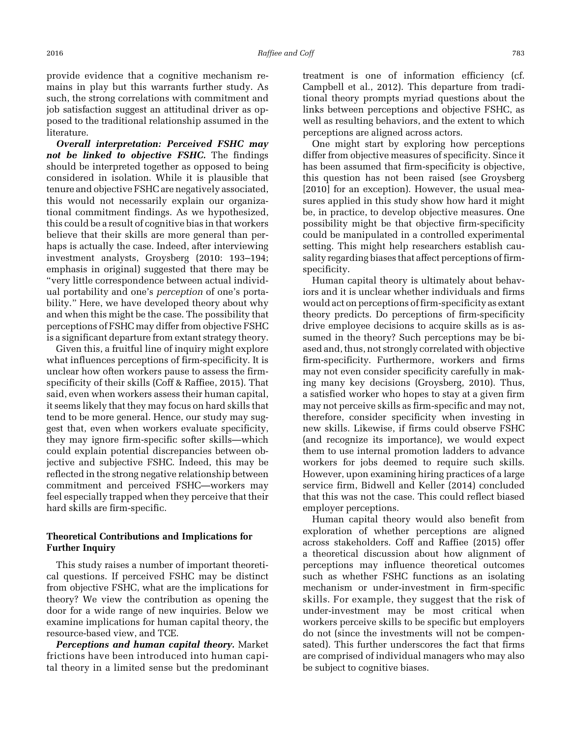provide evidence that a cognitive mechanism remains in play but this warrants further study. As such, the strong correlations with commitment and job satisfaction suggest an attitudinal driver as opposed to the traditional relationship assumed in the literature.

Overall interpretation: Perceived FSHC may not be linked to objective FSHC. The findings should be interpreted together as opposed to being considered in isolation. While it is plausible that tenure and objective FSHC are negatively associated, this would not necessarily explain our organizational commitment findings. As we hypothesized, this could be a result of cognitive bias in that workers believe that their skills are more general than perhaps is actually the case. Indeed, after interviewing investment analysts, Groysberg (2010: 193–194; emphasis in original) suggested that there may be "very little correspondence between actual individual portability and one's perception of one's portability." Here, we have developed theory about why and when this might be the case. The possibility that perceptions of FSHC may differ from objective FSHC is a significant departure from extant strategy theory.

Given this, a fruitful line of inquiry might explore what influences perceptions of firm-specificity. It is unclear how often workers pause to assess the firmspecificity of their skills (Coff & Raffiee, 2015). That said, even when workers assess their human capital, it seems likely that they may focus on hard skills that tend to be more general. Hence, our study may suggest that, even when workers evaluate specificity, they may ignore firm-specific softer skills—which could explain potential discrepancies between objective and subjective FSHC. Indeed, this may be reflected in the strong negative relationship between commitment and perceived FSHC—workers may feel especially trapped when they perceive that their hard skills are firm-specific.

# Theoretical Contributions and Implications for Further Inquiry

This study raises a number of important theoretical questions. If perceived FSHC may be distinct from objective FSHC, what are the implications for theory? We view the contribution as opening the door for a wide range of new inquiries. Below we examine implications for human capital theory, the resource-based view, and TCE.

Perceptions and human capital theory. Market frictions have been introduced into human capital theory in a limited sense but the predominant treatment is one of information efficiency (cf. Campbell et al., 2012). This departure from traditional theory prompts myriad questions about the links between perceptions and objective FSHC, as well as resulting behaviors, and the extent to which perceptions are aligned across actors.

One might start by exploring how perceptions differ from objective measures of specificity. Since it has been assumed that firm-specificity is objective, this question has not been raised (see Groysberg [2010] for an exception). However, the usual measures applied in this study show how hard it might be, in practice, to develop objective measures. One possibility might be that objective firm-specificity could be manipulated in a controlled experimental setting. This might help researchers establish causality regarding biases that affect perceptions of firmspecificity.

Human capital theory is ultimately about behaviors and it is unclear whether individuals and firms would act on perceptions of firm-specificity as extant theory predicts. Do perceptions of firm-specificity drive employee decisions to acquire skills as is assumed in the theory? Such perceptions may be biased and, thus, not strongly correlated with objective firm-specificity. Furthermore, workers and firms may not even consider specificity carefully in making many key decisions (Groysberg, 2010). Thus, a satisfied worker who hopes to stay at a given firm may not perceive skills as firm-specific and may not, therefore, consider specificity when investing in new skills. Likewise, if firms could observe FSHC (and recognize its importance), we would expect them to use internal promotion ladders to advance workers for jobs deemed to require such skills. However, upon examining hiring practices of a large service firm, Bidwell and Keller (2014) concluded that this was not the case. This could reflect biased employer perceptions.

Human capital theory would also benefit from exploration of whether perceptions are aligned across stakeholders. Coff and Raffiee (2015) offer a theoretical discussion about how alignment of perceptions may influence theoretical outcomes such as whether FSHC functions as an isolating mechanism or under-investment in firm-specific skills. For example, they suggest that the risk of under-investment may be most critical when workers perceive skills to be specific but employers do not (since the investments will not be compensated). This further underscores the fact that firms are comprised of individual managers who may also be subject to cognitive biases.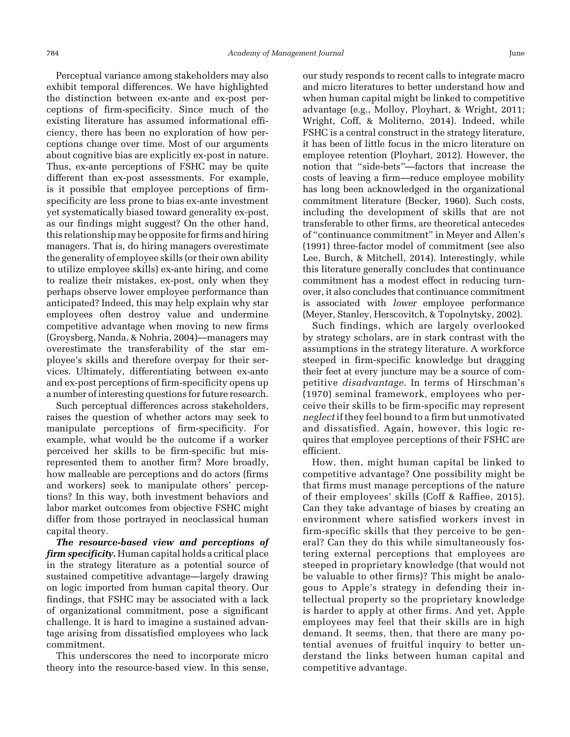Perceptual variance among stakeholders may also exhibit temporal differences. We have highlighted the distinction between ex-ante and ex-post perceptions of firm-specificity. Since much of the existing literature has assumed informational efficiency, there has been no exploration of how perceptions change over time. Most of our arguments about cognitive bias are explicitly ex-post in nature. Thus, ex-ante perceptions of FSHC may be quite different than ex-post assessments. For example, is it possible that employee perceptions of firmspecificity are less prone to bias ex-ante investment yet systematically biased toward generality ex-post, as our findings might suggest? On the other hand, this relationship may be opposite for firms and hiring managers. That is, do hiring managers overestimate the generality of employee skills (or their own ability to utilize employee skills) ex-ante hiring, and come to realize their mistakes, ex-post, only when they perhaps observe lower employee performance than anticipated? Indeed, this may help explain why star employees often destroy value and undermine competitive advantage when moving to new firms (Groysberg, Nanda, & Nohria, 2004)—managers may overestimate the transferability of the star employee's skills and therefore overpay for their services. Ultimately, differentiating between ex-ante and ex-post perceptions of firm-specificity opens up a number of interesting questions for future research.

Such perceptual differences across stakeholders, raises the question of whether actors may seek to manipulate perceptions of firm-specificity. For example, what would be the outcome if a worker perceived her skills to be firm-specific but misrepresented them to another firm? More broadly, how malleable are perceptions and do actors (firms and workers) seek to manipulate others' perceptions? In this way, both investment behaviors and labor market outcomes from objective FSHC might differ from those portrayed in neoclassical human capital theory.

The resource-based view and perceptions of firm specificity. Human capital holds a critical place in the strategy literature as a potential source of sustained competitive advantage—largely drawing on logic imported from human capital theory. Our findings, that FSHC may be associated with a lack of organizational commitment, pose a significant challenge. It is hard to imagine a sustained advantage arising from dissatisfied employees who lack commitment.

This underscores the need to incorporate micro theory into the resource-based view. In this sense, our study responds to recent calls to integrate macro and micro literatures to better understand how and when human capital might be linked to competitive advantage (e.g., Molloy, Ployhart, & Wright, 2011; Wright, Coff, & Moliterno, 2014). Indeed, while FSHC is a central construct in the strategy literature, it has been of little focus in the micro literature on employee retention (Ployhart, 2012). However, the notion that "side-bets"—factors that increase the costs of leaving a firm—reduce employee mobility has long been acknowledged in the organizational commitment literature (Becker, 1960). Such costs, including the development of skills that are not transferable to other firms, are theoretical antecedes of "continuance commitment" in Meyer and Allen's (1991) three-factor model of commitment (see also Lee, Burch, & Mitchell, 2014). Interestingly, while this literature generally concludes that continuance commitment has a modest effect in reducing turnover, it also concludes that continuance commitment is associated with lower employee performance (Meyer, Stanley, Herscovitch, & Topolnytsky, 2002).

Such findings, which are largely overlooked by strategy scholars, are in stark contrast with the assumptions in the strategy literature. A workforce steeped in firm-specific knowledge but dragging their feet at every juncture may be a source of competitive disadvantage. In terms of Hirschman's (1970) seminal framework, employees who perceive their skills to be firm-specific may represent neglect if they feel bound to a firm but unmotivated and dissatisfied. Again, however, this logic requires that employee perceptions of their FSHC are efficient.

How, then, might human capital be linked to competitive advantage? One possibility might be that firms must manage perceptions of the nature of their employees' skills (Coff & Raffiee, 2015). Can they take advantage of biases by creating an environment where satisfied workers invest in firm-specific skills that they perceive to be general? Can they do this while simultaneously fostering external perceptions that employees are steeped in proprietary knowledge (that would not be valuable to other firms)? This might be analogous to Apple's strategy in defending their intellectual property so the proprietary knowledge is harder to apply at other firms. And yet, Apple employees may feel that their skills are in high demand. It seems, then, that there are many potential avenues of fruitful inquiry to better understand the links between human capital and competitive advantage.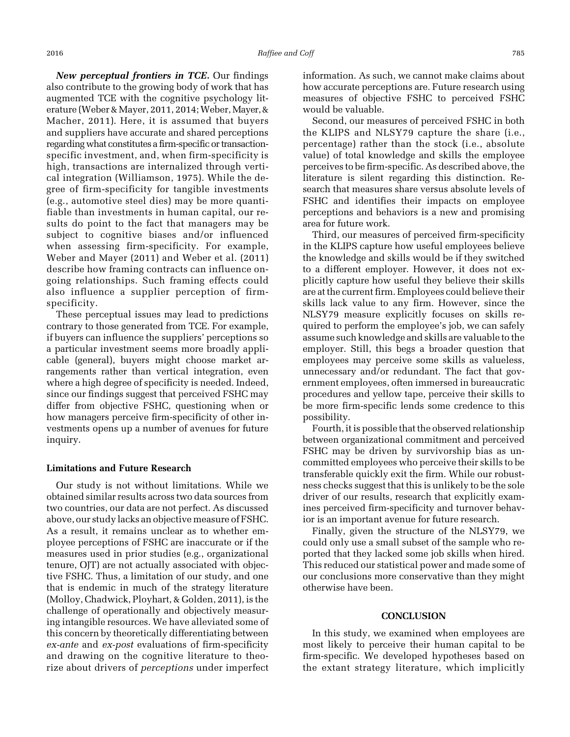New perceptual frontiers in TCE. Our findings also contribute to the growing body of work that has augmented TCE with the cognitive psychology literature (Weber & Mayer, 2011, 2014;Weber, Mayer, & Macher, 2011). Here, it is assumed that buyers and suppliers have accurate and shared perceptions regarding what constitutes a firm-specific or transactionspecific investment, and, when firm-specificity is high, transactions are internalized through vertical integration (Williamson, 1975). While the degree of firm-specificity for tangible investments (e.g., automotive steel dies) may be more quantifiable than investments in human capital, our results do point to the fact that managers may be subject to cognitive biases and/or influenced when assessing firm-specificity. For example, Weber and Mayer (2011) and Weber et al. (2011) describe how framing contracts can influence ongoing relationships. Such framing effects could also influence a supplier perception of firmspecificity.

These perceptual issues may lead to predictions contrary to those generated from TCE. For example, if buyers can influence the suppliers' perceptions so a particular investment seems more broadly applicable (general), buyers might choose market arrangements rather than vertical integration, even where a high degree of specificity is needed. Indeed, since our findings suggest that perceived FSHC may differ from objective FSHC, questioning when or how managers perceive firm-specificity of other investments opens up a number of avenues for future inquiry.

#### Limitations and Future Research

Our study is not without limitations. While we obtained similar results across two data sources from two countries, our data are not perfect. As discussed above, our study lacks an objective measure of FSHC. As a result, it remains unclear as to whether employee perceptions of FSHC are inaccurate or if the measures used in prior studies (e.g., organizational tenure, OJT) are not actually associated with objective FSHC. Thus, a limitation of our study, and one that is endemic in much of the strategy literature (Molloy, Chadwick, Ployhart, & Golden, 2011), is the challenge of operationally and objectively measuring intangible resources. We have alleviated some of this concern by theoretically differentiating between ex-ante and ex-post evaluations of firm-specificity and drawing on the cognitive literature to theorize about drivers of perceptions under imperfect information. As such, we cannot make claims about how accurate perceptions are. Future research using measures of objective FSHC to perceived FSHC would be valuable.

Second, our measures of perceived FSHC in both the KLIPS and NLSY79 capture the share (i.e., percentage) rather than the stock (i.e., absolute value) of total knowledge and skills the employee perceives to be firm-specific. As described above, the literature is silent regarding this distinction. Research that measures share versus absolute levels of FSHC and identifies their impacts on employee perceptions and behaviors is a new and promising area for future work.

Third, our measures of perceived firm-specificity in the KLIPS capture how useful employees believe the knowledge and skills would be if they switched to a different employer. However, it does not explicitly capture how useful they believe their skills are at the current firm. Employees could believe their skills lack value to any firm. However, since the NLSY79 measure explicitly focuses on skills required to perform the employee's job, we can safely assume such knowledge and skills are valuable to the employer. Still, this begs a broader question that employees may perceive some skills as valueless, unnecessary and/or redundant. The fact that government employees, often immersed in bureaucratic procedures and yellow tape, perceive their skills to be more firm-specific lends some credence to this possibility.

Fourth, it is possible that the observed relationship between organizational commitment and perceived FSHC may be driven by survivorship bias as uncommitted employees who perceive their skills to be transferable quickly exit the firm. While our robustness checks suggest that this is unlikely to be the sole driver of our results, research that explicitly examines perceived firm-specificity and turnover behavior is an important avenue for future research.

Finally, given the structure of the NLSY79, we could only use a small subset of the sample who reported that they lacked some job skills when hired. This reduced our statistical power and made some of our conclusions more conservative than they might otherwise have been.

#### **CONCLUSION**

In this study, we examined when employees are most likely to perceive their human capital to be firm-specific. We developed hypotheses based on the extant strategy literature, which implicitly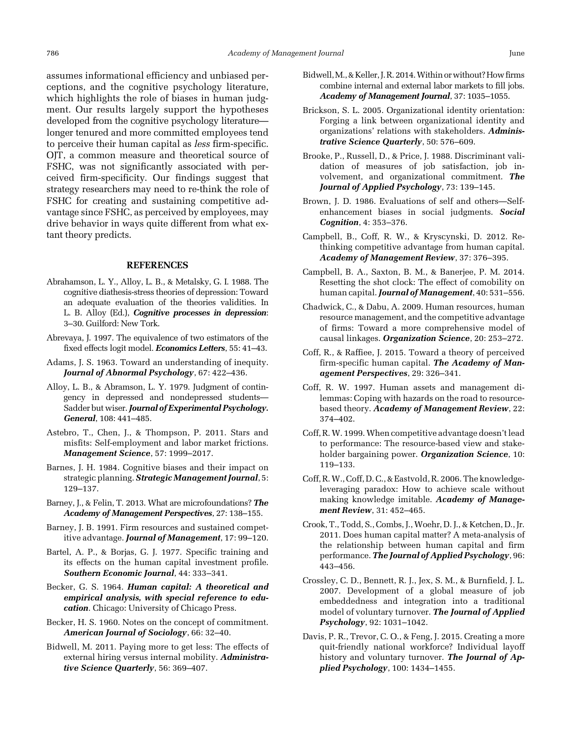assumes informational efficiency and unbiased perceptions, and the cognitive psychology literature, which highlights the role of biases in human judgment. Our results largely support the hypotheses developed from the cognitive psychology literature longer tenured and more committed employees tend to perceive their human capital as less firm-specific. OJT, a common measure and theoretical source of FSHC, was not significantly associated with perceived firm-specificity. Our findings suggest that strategy researchers may need to re-think the role of FSHC for creating and sustaining competitive advantage since FSHC, as perceived by employees, may drive behavior in ways quite different from what extant theory predicts.

### REFERENCES

- Abrahamson, L. Y., Alloy, L. B., & Metalsky, G. I. 1988. The cognitive diathesis-stress theories of depression: Toward an adequate evaluation of the theories validities. In L. B. Alloy (Ed.), Cognitive processes in depression: 3–30. Guilford: New Tork.
- Abrevaya, J. 1997. The equivalence of two estimators of the fixed effects logit model. Economics Letters, 55: 41–43.
- Adams, J. S. 1963. Toward an understanding of inequity. Journal of Abnormal Psychology, 67: 422–436.
- Alloy, L. B., & Abramson, L. Y. 1979. Judgment of contingency in depressed and nondepressed students— Sadder but wiser. Journal of Experimental Psychology. General, 108: 441–485.
- Astebro, T., Chen, J., & Thompson, P. 2011. Stars and misfits: Self-employment and labor market frictions. Management Science, 57: 1999–2017.
- Barnes, J. H. 1984. Cognitive biases and their impact on strategic planning. Strategic Management Journal, 5: 129–137.
- Barney, J., & Felin, T. 2013. What are microfoundations? The Academy of Management Perspectives, 27: 138–155.
- Barney, J. B. 1991. Firm resources and sustained competitive advantage. Journal of Management, 17: 99-120.
- Bartel, A. P., & Borjas, G. J. 1977. Specific training and its effects on the human capital investment profile. Southern Economic Journal, 44: 333–341.
- Becker, G. S. 1964. Human capital: A theoretical and empirical analysis, with special reference to education. Chicago: University of Chicago Press.
- Becker, H. S. 1960. Notes on the concept of commitment. American Journal of Sociology, 66: 32–40.
- Bidwell, M. 2011. Paying more to get less: The effects of external hiring versus internal mobility. Administrative Science Quarterly, 56: 369–407.
- Bidwell, M., & Keller, J. R. 2014. Within or without? How firms combine internal and external labor markets to fill jobs. Academy of Management Journal, 37: 1035–1055.
- Brickson, S. L. 2005. Organizational identity orientation: Forging a link between organizational identity and organizations' relations with stakeholders. Administrative Science Quarterly, 50: 576–609.
- Brooke, P., Russell, D., & Price, J. 1988. Discriminant validation of measures of job satisfaction, job involvement, and organizational commitment. The Journal of Applied Psychology, 73: 139–145.
- Brown, J. D. 1986. Evaluations of self and others—Selfenhancement biases in social judgments. Social Cognition, 4: 353–376.
- Campbell, B., Coff, R. W., & Kryscynski, D. 2012. Rethinking competitive advantage from human capital. Academy of Management Review, 37: 376–395.
- Campbell, B. A., Saxton, B. M., & Banerjee, P. M. 2014. Resetting the shot clock: The effect of comobility on human capital. Journal of Management, 40: 531-556.
- Chadwick, C., & Dabu, A. 2009. Human resources, human resource management, and the competitive advantage of firms: Toward a more comprehensive model of causal linkages. Organization Science, 20: 253–272.
- Coff, R., & Raffiee, J. 2015. Toward a theory of perceived firm-specific human capital. The Academy of Management Perspectives, 29: 326–341.
- Coff, R. W. 1997. Human assets and management dilemmas: Coping with hazards on the road to resourcebased theory. Academy of Management Review, 22: 374–402.
- Coff, R.W. 1999.When competitive advantage doesn't lead to performance: The resource-based view and stakeholder bargaining power. Organization Science, 10: 119–133.
- Coff, R.W., Coff, D. C., & Eastvold, R. 2006. The knowledgeleveraging paradox: How to achieve scale without making knowledge imitable. Academy of Management Review, 31: 452–465.
- Crook, T., Todd, S., Combs, J., Woehr, D. J., & Ketchen, D., Jr. 2011. Does human capital matter? A meta-analysis of the relationship between human capital and firm performance. The Journal of Applied Psychology, 96: 443–456.
- Crossley, C. D., Bennett, R. J., Jex, S. M., & Burnfield, J. L. 2007. Development of a global measure of job embeddedness and integration into a traditional model of voluntary turnover. The Journal of Applied Psychology, 92: 1031–1042.
- Davis, P. R., Trevor, C. O., & Feng, J. 2015. Creating a more quit-friendly national workforce? Individual layoff history and voluntary turnover. The Journal of Applied Psychology, 100: 1434–1455.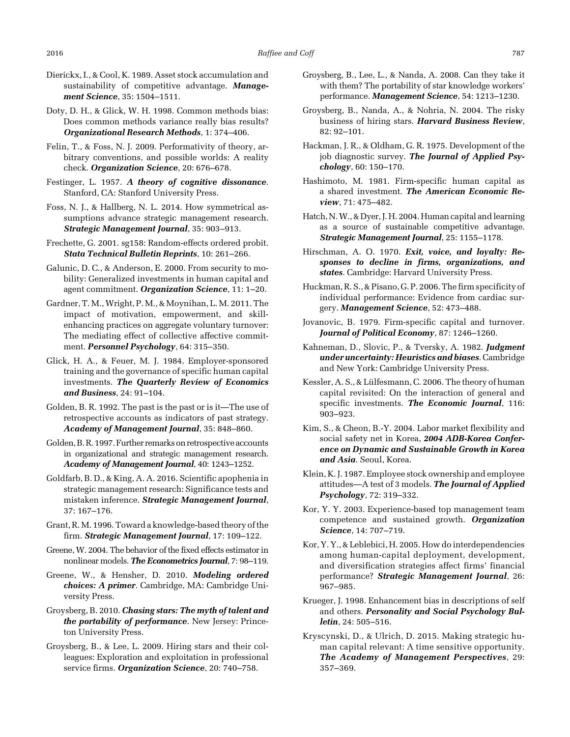- Dierickx, I., & Cool, K. 1989. Asset stock accumulation and sustainability of competitive advantage. Management Science, 35: 1504–1511.
- Doty, D. H., & Glick, W. H. 1998. Common methods bias: Does common methods variance really bias results? Organizational Research Methods, 1: 374–406.
- Felin, T., & Foss, N. J. 2009. Performativity of theory, arbitrary conventions, and possible worlds: A reality check. Organization Science, 20: 676–678.
- Festinger, L. 1957. A theory of cognitive dissonance. Stanford, CA: Stanford University Press.
- Foss, N. J., & Hallberg, N. L. 2014. How symmetrical assumptions advance strategic management research. Strategic Management Journal, 35: 903–913.
- Frechette, G. 2001. sg158: Random-effects ordered probit. Stata Technical Bulletin Reprints, 10: 261–266.
- Galunic, D. C., & Anderson, E. 2000. From security to mobility: Generalized investments in human capital and agent commitment. Organization Science, 11: 1–20.
- Gardner, T. M., Wright, P. M., & Moynihan, L. M. 2011. The impact of motivation, empowerment, and skillenhancing practices on aggregate voluntary turnover: The mediating effect of collective affective commitment. Personnel Psychology, 64: 315–350.
- Glick, H. A., & Feuer, M. J. 1984. Employer-sponsored training and the governance of specific human capital investments. The Quarterly Review of Economics and Business, 24: 91–104.
- Golden, B. R. 1992. The past is the past or is it—The use of retrospective accounts as indicators of past strategy. Academy of Management Journal, 35: 848–860.
- Golden, B. R. 1997. Further remarks on retrospective accounts in organizational and strategic management research. Academy of Management Journal, 40: 1243–1252.
- Goldfarb, B. D., & King, A. A. 2016. Scientific apophenia in strategic management research: Significance tests and mistaken inference. Strategic Management Journal, 37: 167–176.
- Grant, R. M. 1996. Toward a knowledge-based theory of the firm. Strategic Management Journal, 17: 109–122.
- Greene, W. 2004. The behavior of the fixed effects estimator in nonlinear models. The Econometrics Journal, 7: 98–119.
- Greene, W., & Hensher, D. 2010. Modeling ordered choices: A primer. Cambridge, MA: Cambridge University Press.
- Groysberg, B. 2010. Chasing stars: The myth of talent and the portability of performance. New Jersey: Princeton University Press.
- Groysberg, B., & Lee, L. 2009. Hiring stars and their colleagues: Exploration and exploitation in professional service firms. Organization Science, 20: 740-758.
- Groysberg, B., Lee, L., & Nanda, A. 2008. Can they take it with them? The portability of star knowledge workers' performance. Management Science, 54: 1213–1230.
- Groysberg, B., Nanda, A., & Nohria, N. 2004. The risky business of hiring stars. Harvard Business Review, 82: 92–101.
- Hackman, J. R., & Oldham, G. R. 1975. Development of the job diagnostic survey. The Journal of Applied Psychology, 60: 150–170.
- Hashimoto, M. 1981. Firm-specific human capital as a shared investment. The American Economic Review, 71: 475–482.
- Hatch, N.W., & Dyer, J. H. 2004. Human capital and learning as a source of sustainable competitive advantage. Strategic Management Journal, 25: 1155–1178.
- Hirschman, A. O. 1970. Exit, voice, and loyalty: Responses to decline in firms, organizations, and states. Cambridge: Harvard University Press.
- Huckman, R. S., & Pisano, G. P. 2006. The firm specificity of individual performance: Evidence from cardiac surgery. Management Science, 52: 473–488.
- Jovanovic, B. 1979. Firm-specific capital and turnover. Journal of Political Economy, 87: 1246–1260.
- Kahneman, D., Slovic, P., & Tversky, A. 1982. Judgment under uncertainty: Heuristics and biases. Cambridge and New York: Cambridge University Press.
- Kessler, A. S., & Lülfesmann, C. 2006. The theory of human capital revisited: On the interaction of general and specific investments. The Economic Journal, 116: 903–923.
- Kim, S., & Cheon, B.-Y. 2004. Labor market flexibility and social safety net in Korea, 2004 ADB-Korea Conference on Dynamic and Sustainable Growth in Korea and Asia. Seoul, Korea.
- Klein, K. J. 1987. Employee stock ownership and employee attitudes—A test of 3 models. The Journal of Applied Psychology, 72: 319–332.
- Kor, Y. Y. 2003. Experience-based top management team competence and sustained growth. Organization Science, 14: 707–719.
- Kor, Y. Y., & Leblebici, H. 2005. How do interdependencies among human-capital deployment, development, and diversification strategies affect firms' financial performance? Strategic Management Journal, 26: 967–985.
- Krueger, J. 1998. Enhancement bias in descriptions of self and others. Personality and Social Psychology Bulletin, 24: 505–516.
- Kryscynski, D., & Ulrich, D. 2015. Making strategic human capital relevant: A time sensitive opportunity. The Academy of Management Perspectives, 29: 357–369.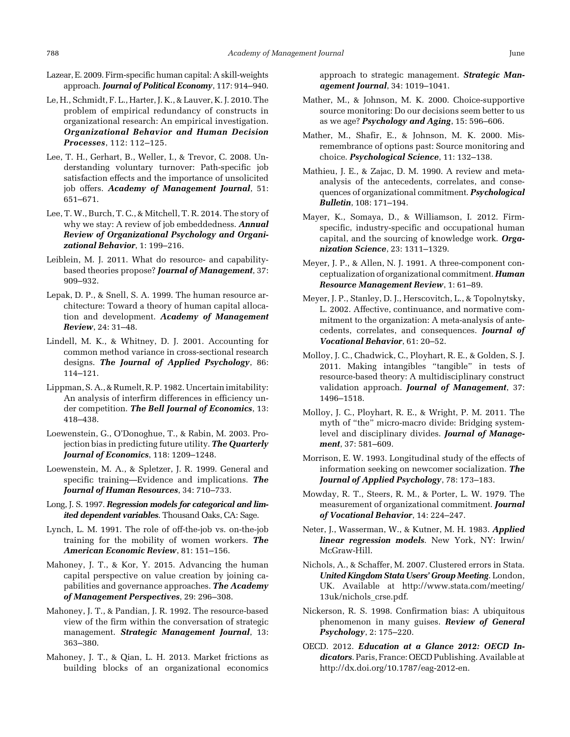- Lazear, E. 2009. Firm-specific human capital: A skill-weights approach. Journal of Political Economy, 117: 914–940.
- Le, H., Schmidt, F. L., Harter, J. K., & Lauver, K. J. 2010. The problem of empirical redundancy of constructs in organizational research: An empirical investigation. Organizational Behavior and Human Decision Processes, 112: 112–125.
- Lee, T. H., Gerhart, B., Weller, I., & Trevor, C. 2008. Understanding voluntary turnover: Path-specific job satisfaction effects and the importance of unsolicited job offers. Academy of Management Journal, 51: 651–671.
- Lee, T. W., Burch, T. C., & Mitchell, T. R. 2014. The story of why we stay: A review of job embeddedness. Annual Review of Organizational Psychology and Organizational Behavior, 1: 199–216.
- Leiblein, M. J. 2011. What do resource- and capabilitybased theories propose? Journal of Management, 37: 909–932.
- Lepak, D. P., & Snell, S. A. 1999. The human resource architecture: Toward a theory of human capital allocation and development. Academy of Management Review, 24: 31–48.
- Lindell, M. K., & Whitney, D. J. 2001. Accounting for common method variance in cross-sectional research designs. The Journal of Applied Psychology, 86: 114–121.
- Lippman, S. A., & Rumelt, R. P. 1982. Uncertain imitability: An analysis of interfirm differences in efficiency under competition. The Bell Journal of Economics, 13: 418–438.
- Loewenstein, G., O'Donoghue, T., & Rabin, M. 2003. Projection bias in predicting future utility. The Quarterly Journal of Economics, 118: 1209–1248.
- Loewenstein, M. A., & Spletzer, J. R. 1999. General and specific training—Evidence and implications. The Journal of Human Resources, 34: 710–733.
- Long, J. S. 1997. Regression models for categorical and limited dependent variables. Thousand Oaks, CA: Sage.
- Lynch, L. M. 1991. The role of off-the-job vs. on-the-job training for the mobility of women workers. The American Economic Review, 81: 151–156.
- Mahoney, J. T., & Kor, Y. 2015. Advancing the human capital perspective on value creation by joining capabilities and governance approaches. The Academy of Management Perspectives, 29: 296–308.
- Mahoney, J. T., & Pandian, J. R. 1992. The resource-based view of the firm within the conversation of strategic management. Strategic Management Journal, 13: 363–380.
- Mahoney, J. T., & Qian, L. H. 2013. Market frictions as building blocks of an organizational economics

approach to strategic management. Strategic Management Journal, 34: 1019–1041.

- Mather, M., & Johnson, M. K. 2000. Choice-supportive source monitoring: Do our decisions seem better to us as we age? Psychology and Aging, 15: 596-606.
- Mather, M., Shafir, E., & Johnson, M. K. 2000. Misremembrance of options past: Source monitoring and choice. Psychological Science, 11: 132–138.
- Mathieu, J. E., & Zajac, D. M. 1990. A review and metaanalysis of the antecedents, correlates, and consequences of organizational commitment. Psychological Bulletin, 108: 171–194.
- Mayer, K., Somaya, D., & Williamson, I. 2012. Firmspecific, industry-specific and occupational human capital, and the sourcing of knowledge work. Organization Science, 23: 1311–1329.
- Meyer, J. P., & Allen, N. J. 1991. A three-component conceptualization of organizational commitment. Human Resource Management Review, 1: 61–89.
- Meyer, J. P., Stanley, D. J., Herscovitch, L., & Topolnytsky, L. 2002. Affective, continuance, and normative commitment to the organization: A meta-analysis of antecedents, correlates, and consequences. Journal of Vocational Behavior, 61: 20–52.
- Molloy, J. C., Chadwick, C., Ployhart, R. E., & Golden, S. J. 2011. Making intangibles "tangible" in tests of resource-based theory: A multidisciplinary construct validation approach. Journal of Management, 37: 1496–1518.
- Molloy, J. C., Ployhart, R. E., & Wright, P. M. 2011. The myth of "the" micro-macro divide: Bridging systemlevel and disciplinary divides. Journal of Management, 37: 581-609.
- Morrison, E. W. 1993. Longitudinal study of the effects of information seeking on newcomer socialization. The Journal of Applied Psychology, 78: 173–183.
- Mowday, R. T., Steers, R. M., & Porter, L. W. 1979. The measurement of organizational commitment. Journal of Vocational Behavior, 14: 224–247.
- Neter, J., Wasserman, W., & Kutner, M. H. 1983. Applied linear regression models. New York, NY: Irwin/ McGraw-Hill.
- Nichols, A., & Schaffer, M. 2007. Clustered errors in Stata. United Kingdom Stata Users' Group Meeting. London, UK. Available at http://www.stata.com/meeting/ 13uk/nichols\_crse.pdf.
- Nickerson, R. S. 1998. Confirmation bias: A ubiquitous phenomenon in many guises. Review of General Psychology, 2: 175–220.
- OECD. 2012. Education at a Glance 2012: OECD Indicators. Paris, France: OECD Publishing. Available at http://dx.doi.org/10.1787/eag-2012-en.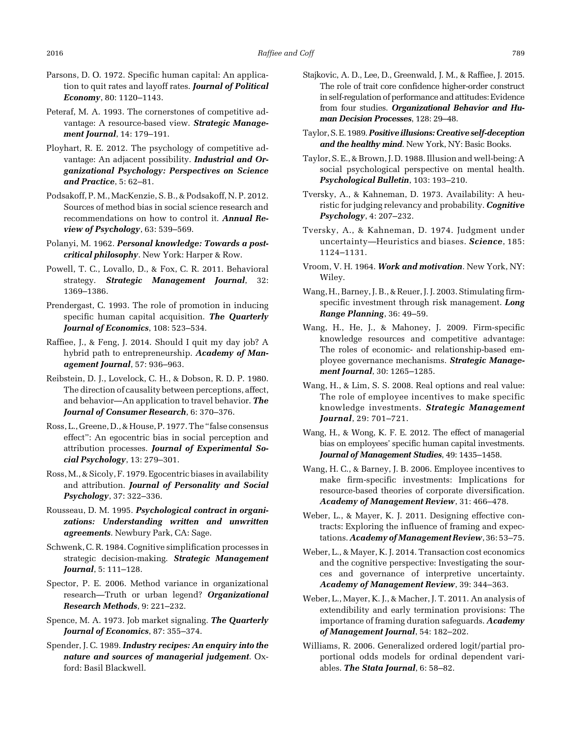- Parsons, D. O. 1972. Specific human capital: An application to quit rates and layoff rates. Journal of Political Economy, 80: 1120–1143.
- Peteraf, M. A. 1993. The cornerstones of competitive advantage: A resource-based view. Strategic Management Journal, 14: 179–191.
- Ployhart, R. E. 2012. The psychology of competitive advantage: An adjacent possibility. Industrial and Organizational Psychology: Perspectives on Science and Practice, 5: 62–81.
- Podsakoff, P. M., MacKenzie, S. B., & Podsakoff, N. P. 2012. Sources of method bias in social science research and recommendations on how to control it. Annual Review of Psychology, 63: 539–569.
- Polanyi, M. 1962. Personal knowledge: Towards a postcritical philosophy. New York: Harper & Row.
- Powell, T. C., Lovallo, D., & Fox, C. R. 2011. Behavioral strategy. Strategic Management Journal, 32: 1369–1386.
- Prendergast, C. 1993. The role of promotion in inducing specific human capital acquisition. The Quarterly Journal of Economics, 108: 523–534.
- Raffiee, J., & Feng, J. 2014. Should I quit my day job? A hybrid path to entrepreneurship. Academy of Management Journal, 57: 936–963.
- Reibstein, D. J., Lovelock, C. H., & Dobson, R. D. P. 1980. The direction of causality between perceptions, affect, and behavior—An application to travel behavior. The Journal of Consumer Research, 6: 370–376.
- Ross, L., Greene, D., & House, P. 1977. The "false consensus effect": An egocentric bias in social perception and attribution processes. Journal of Experimental Social Psychology, 13: 279–301.
- Ross, M., & Sicoly, F. 1979. Egocentric biases in availability and attribution. Journal of Personality and Social Psychology, 37: 322–336.
- Rousseau, D. M. 1995. Psychological contract in organizations: Understanding written and unwritten agreements. Newbury Park, CA: Sage.
- Schwenk, C. R. 1984. Cognitive simplification processes in strategic decision-making. Strategic Management Journal, 5: 111–128.
- Spector, P. E. 2006. Method variance in organizational research—Truth or urban legend? Organizational Research Methods, 9: 221–232.
- Spence, M. A. 1973. Job market signaling. The Quarterly Journal of Economics, 87: 355–374.
- Spender, J. C. 1989. Industry recipes: An enquiry into the nature and sources of managerial judgement. Oxford: Basil Blackwell.
- Stajkovic, A. D., Lee, D., Greenwald, J. M., & Raffiee, J. 2015. The role of trait core confidence higher-order construct in self-regulation of performance and attitudes: Evidence from four studies. Organizational Behavior and Human Decision Processes, 128: 29–48.
- Taylor, S. E. 1989. Positive illusions: Creative self-deception and the healthy mind. New York, NY: Basic Books.
- Taylor, S. E., & Brown, J. D. 1988. Illusion and well-being: A social psychological perspective on mental health. Psychological Bulletin, 103: 193–210.
- Tversky, A., & Kahneman, D. 1973. Availability: A heuristic for judging relevancy and probability. Cognitive Psychology, 4: 207–232.
- Tversky, A., & Kahneman, D. 1974. Judgment under uncertainty-Heuristics and biases. Science, 185: 1124–1131.
- Vroom, V. H. 1964. Work and motivation. New York, NY: Wiley.
- Wang, H., Barney, J. B., & Reuer, J. J. 2003. Stimulating firmspecific investment through risk management. Long Range Planning, 36: 49–59.
- Wang, H., He, J., & Mahoney, J. 2009. Firm-specific knowledge resources and competitive advantage: The roles of economic- and relationship-based employee governance mechanisms. Strategic Management Journal, 30: 1265–1285.
- Wang, H., & Lim, S. S. 2008. Real options and real value: The role of employee incentives to make specific knowledge investments. Strategic Management Journal, 29: 701–721.
- Wang, H., & Wong, K. F. E. 2012. The effect of managerial bias on employees' specific human capital investments. Journal of Management Studies, 49: 1435–1458.
- Wang, H. C., & Barney, J. B. 2006. Employee incentives to make firm-specific investments: Implications for resource-based theories of corporate diversification. Academy of Management Review, 31: 466–478.
- Weber, L., & Mayer, K. J. 2011. Designing effective contracts: Exploring the influence of framing and expectations. Academy of Management Review, 36: 53-75.
- Weber, L., & Mayer, K. J. 2014. Transaction cost economics and the cognitive perspective: Investigating the sources and governance of interpretive uncertainty. Academy of Management Review, 39: 344–363.
- Weber, L., Mayer, K. J., & Macher, J. T. 2011. An analysis of extendibility and early termination provisions: The importance of framing duration safeguards. Academy of Management Journal, 54: 182–202.
- Williams, R. 2006. Generalized ordered logit/partial proportional odds models for ordinal dependent variables. The Stata Journal, 6: 58–82.